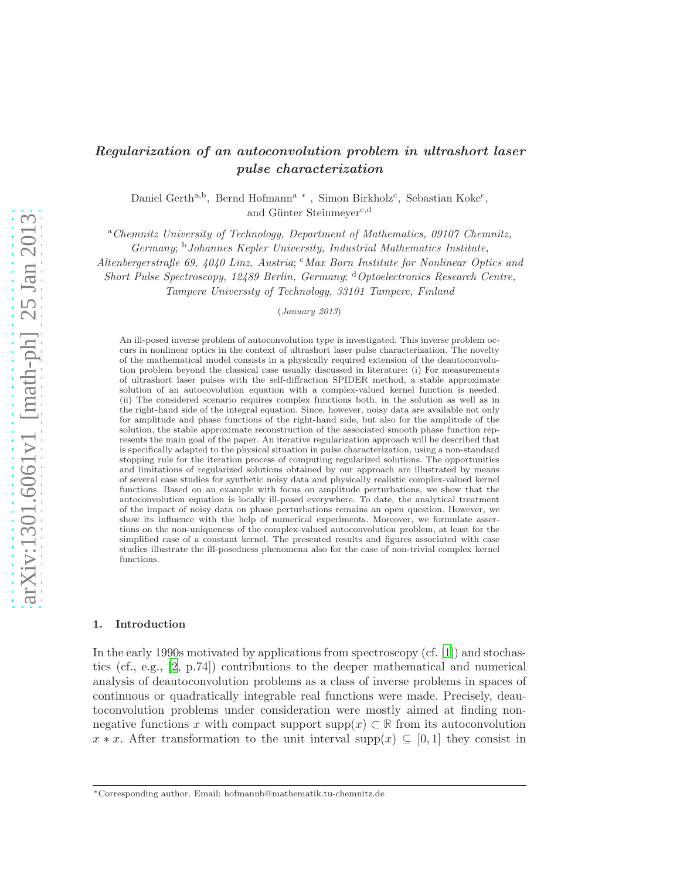# Regularization of an autoconvolution problem in ultrashort laser pulse characterization

Daniel Gerth<sup>a,b</sup>, Bernd Hofmann<sup>a</sup> <sup>\*</sup>, Simon Birkholz<sup>c</sup>, Sebastian Koke<sup>c</sup>, and Günter Steinmeyer<sup>c,d</sup>

<sup>a</sup>Chemnitz University of Technology, Department of Mathematics, 09107 Chemnitz,

Germany; <sup>b</sup>Johannes Kepler University, Industrial Mathematics Institute,

Altenbergerstraße 69, 4040 Linz, Austria; <sup>c</sup>Max Born Institute for Nonlinear Optics and

Short Pulse Spectroscopy, 12489 Berlin, Germany; <sup>d</sup>Optoelectronics Research Centre,

Tampere University of Technology, 33101 Tampere, Finland

(January 2013)

An ill-posed inverse problem of autoconvolution type is investigated. This inverse problem occurs in nonlinear optics in the context of ultrashort laser pulse characterization. The novelty of the mathematical model consists in a physically required extension of the deautoconvolution problem beyond the classical case usually discussed in literature: (i) For measurements of ultrashort laser pulses with the self-diffraction SPIDER method, a stable approximate solution of an autocovolution equation with a complex-valued kernel function is needed. (ii) The considered scenario requires complex functions both, in the solution as well as in the right-hand side of the integral equation. Since, however, noisy data are available not only for amplitude and phase functions of the right-hand side, but also for the amplitude of the solution, the stable approximate reconstruction of the associated smooth phase function represents the main goal of the paper. An iterative regularization approach will be described that is specifically adapted to the physical situation in pulse characterization, using a non-standard stopping rule for the iteration process of computing regularized solutions. The opportunities and limitations of regularized solutions obtained by our approach are illustrated by means of several case studies for synthetic noisy data and physically realistic complex-valued kernel functions. Based on an example with focus on amplitude perturbations, we show that the autoconvolution equation is locally ill-posed everywhere. To date, the analytical treatment of the impact of noisy data on phase perturbations remains an open question. However, we show its influence with the help of numerical experiments. Moreover, we formulate assertions on the non-uniqueness of the complex-valued autoconvolution problem, at least for the simplified case of a constant kernel. The presented results and figures associated with case studies illustrate the ill-posedness phenomena also for the case of non-trivial complex kernel functions.

#### <span id="page-0-0"></span>1. Introduction

In the early 1990s motivated by applications from spectroscopy (cf. [\[1\]](#page-19-0)) and stochastics (cf., e.g., [\[2,](#page-19-1) p.74]) contributions to the deeper mathematical and numerical analysis of deautoconvolution problems as a class of inverse problems in spaces of continuous or quadratically integrable real functions were made. Precisely, deautoconvolution problems under consideration were mostly aimed at finding nonnegative functions x with compact support  $\text{supp}(x) \subset \mathbb{R}$  from its autoconvolution  $x * x$ . After transformation to the unit interval supp $(x) \subseteq [0,1]$  they consist in

<sup>∗</sup>Corresponding author. Email: hofmannb@mathematik.tu-chemnitz.de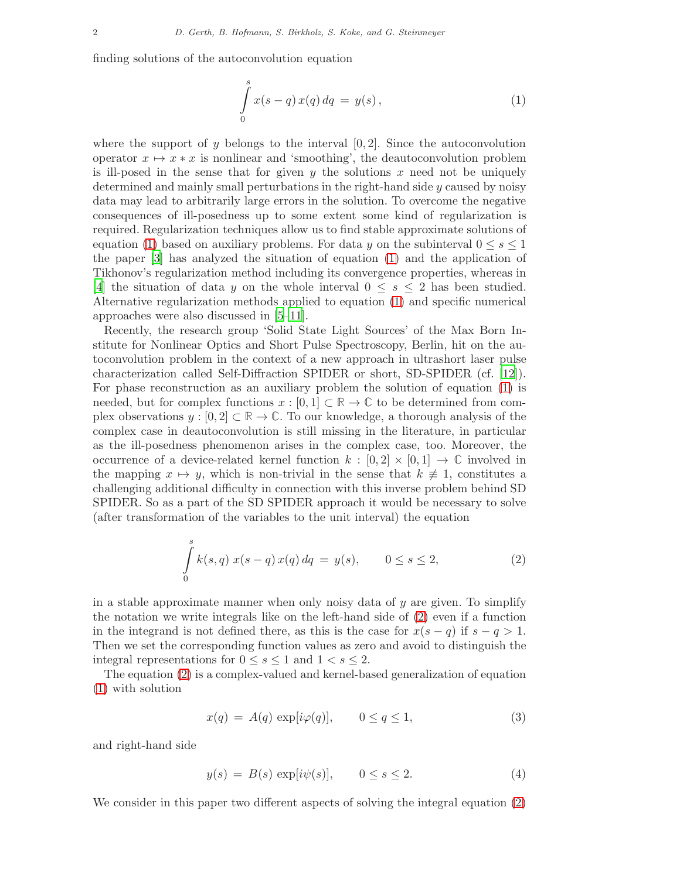finding solutions of the autoconvolution equation

<span id="page-1-0"></span>
$$
\int_{0}^{s} x(s-q) x(q) dq = y(s), \qquad (1)
$$

where the support of y belongs to the interval  $[0, 2]$ . Since the autoconvolution operator  $x \mapsto x * x$  is nonlinear and 'smoothing', the deautoconvolution problem is ill-posed in the sense that for given  $y$  the solutions x need not be uniquely determined and mainly small perturbations in the right-hand side  $y$  caused by noisy data may lead to arbitrarily large errors in the solution. To overcome the negative consequences of ill-posedness up to some extent some kind of regularization is required. Regularization techniques allow us to find stable approximate solutions of equation [\(1\)](#page-1-0) based on auxiliary problems. For data y on the subinterval  $0 \leq s \leq 1$ the paper [\[3](#page-19-2)] has analyzed the situation of equation [\(1\)](#page-1-0) and the application of Tikhonov's regularization method including its convergence properties, whereas in [\[4](#page-19-3)] the situation of data y on the whole interval  $0 \leq s \leq 2$  has been studied. Alternative regularization methods applied to equation [\(1\)](#page-1-0) and specific numerical approaches were also discussed in [\[5](#page-19-4)[–11\]](#page-19-5).

Recently, the research group 'Solid State Light Sources' of the Max Born Institute for Nonlinear Optics and Short Pulse Spectroscopy, Berlin, hit on the autoconvolution problem in the context of a new approach in ultrashort laser pulse characterization called Self-Diffraction SPIDER or short, SD-SPIDER (cf. [\[12\]](#page-19-6)). For phase reconstruction as an auxiliary problem the solution of equation [\(1\)](#page-1-0) is needed, but for complex functions  $x : [0,1] \subset \mathbb{R} \to \mathbb{C}$  to be determined from complex observations  $y : [0, 2] \subset \mathbb{R} \to \mathbb{C}$ . To our knowledge, a thorough analysis of the complex case in deautoconvolution is still missing in the literature, in particular as the ill-posedness phenomenon arises in the complex case, too. Moreover, the occurrence of a device-related kernel function  $k : [0, 2] \times [0, 1] \rightarrow \mathbb{C}$  involved in the mapping  $x \mapsto y$ , which is non-trivial in the sense that  $k \neq 1$ , constitutes a challenging additional difficulty in connection with this inverse problem behind SD SPIDER. So as a part of the SD SPIDER approach it would be necessary to solve (after transformation of the variables to the unit interval) the equation

<span id="page-1-1"></span>
$$
\int_{0}^{s} k(s, q) x(s - q) x(q) dq = y(s), \qquad 0 \le s \le 2,
$$
\n(2)

in a stable approximate manner when only noisy data of  $y$  are given. To simplify the notation we write integrals like on the left-hand side of [\(2\)](#page-1-1) even if a function in the integrand is not defined there, as this is the case for  $x(s - q)$  if  $s - q > 1$ . Then we set the corresponding function values as zero and avoid to distinguish the integral representations for  $0 \leq s \leq 1$  and  $1 < s \leq 2$ .

The equation [\(2\)](#page-1-1) is a complex-valued and kernel-based generalization of equation [\(1\)](#page-1-0) with solution

<span id="page-1-2"></span>
$$
x(q) = A(q) \exp[i\varphi(q)], \qquad 0 \le q \le 1,\tag{3}
$$

and right-hand side

<span id="page-1-3"></span>
$$
y(s) = B(s) \exp[i\psi(s)], \qquad 0 \le s \le 2. \tag{4}
$$

We consider in this paper two different aspects of solving the integral equation [\(2\)](#page-1-1)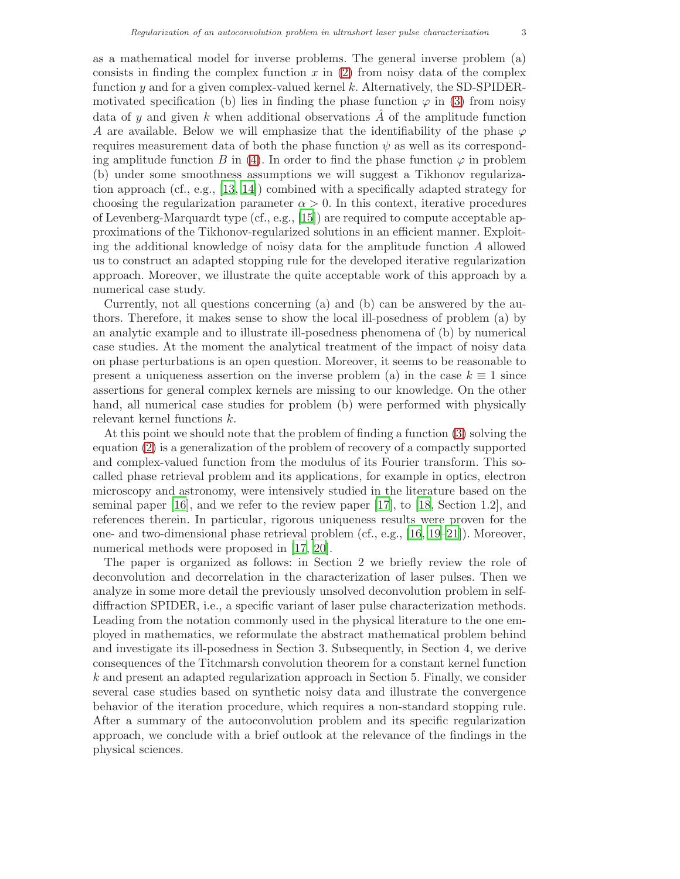as a mathematical model for inverse problems. The general inverse problem (a) consists in finding the complex function  $x$  in [\(2\)](#page-1-1) from noisy data of the complex function  $\gamma$  and for a given complex-valued kernel k. Alternatively, the SD-SPIDERmotivated specification (b) lies in finding the phase function  $\varphi$  in [\(3\)](#page-1-2) from noisy data of y and given k when additional observations  $\hat{A}$  of the amplitude function A are available. Below we will emphasize that the identifiability of the phase  $\varphi$ requires measurement data of both the phase function  $\psi$  as well as its correspond-ing amplitude function B in [\(4\)](#page-1-3). In order to find the phase function  $\varphi$  in problem (b) under some smoothness assumptions we will suggest a Tikhonov regularization approach (cf., e.g., [\[13](#page-19-7), [14](#page-19-8)]) combined with a specifically adapted strategy for choosing the regularization parameter  $\alpha > 0$ . In this context, iterative procedures of Levenberg-Marquardt type (cf., e.g., [\[15](#page-19-9)]) are required to compute acceptable approximations of the Tikhonov-regularized solutions in an efficient manner. Exploiting the additional knowledge of noisy data for the amplitude function A allowed us to construct an adapted stopping rule for the developed iterative regularization approach. Moreover, we illustrate the quite acceptable work of this approach by a numerical case study.

Currently, not all questions concerning (a) and (b) can be answered by the authors. Therefore, it makes sense to show the local ill-posedness of problem (a) by an analytic example and to illustrate ill-posedness phenomena of (b) by numerical case studies. At the moment the analytical treatment of the impact of noisy data on phase perturbations is an open question. Moreover, it seems to be reasonable to present a uniqueness assertion on the inverse problem (a) in the case  $k \equiv 1$  since assertions for general complex kernels are missing to our knowledge. On the other hand, all numerical case studies for problem (b) were performed with physically relevant kernel functions k.

At this point we should note that the problem of finding a function [\(3\)](#page-1-2) solving the equation [\(2\)](#page-1-1) is a generalization of the problem of recovery of a compactly supported and complex-valued function from the modulus of its Fourier transform. This socalled phase retrieval problem and its applications, for example in optics, electron microscopy and astronomy, were intensively studied in the literature based on the seminal paper [\[16\]](#page-19-10), and we refer to the review paper [\[17](#page-19-11)], to [\[18,](#page-19-12) Section 1.2], and references therein. In particular, rigorous uniqueness results were proven for the one- and two-dimensional phase retrieval problem (cf., e.g., [\[16,](#page-19-10) [19](#page-19-13)[–21](#page-19-14)]). Moreover, numerical methods were proposed in [\[17](#page-19-11), [20\]](#page-19-15).

The paper is organized as follows: in Section 2 we briefly review the role of deconvolution and decorrelation in the characterization of laser pulses. Then we analyze in some more detail the previously unsolved deconvolution problem in selfdiffraction SPIDER, i.e., a specific variant of laser pulse characterization methods. Leading from the notation commonly used in the physical literature to the one employed in mathematics, we reformulate the abstract mathematical problem behind and investigate its ill-posedness in Section 3. Subsequently, in Section 4, we derive consequences of the Titchmarsh convolution theorem for a constant kernel function k and present an adapted regularization approach in Section 5. Finally, we consider several case studies based on synthetic noisy data and illustrate the convergence behavior of the iteration procedure, which requires a non-standard stopping rule. After a summary of the autoconvolution problem and its specific regularization approach, we conclude with a brief outlook at the relevance of the findings in the physical sciences.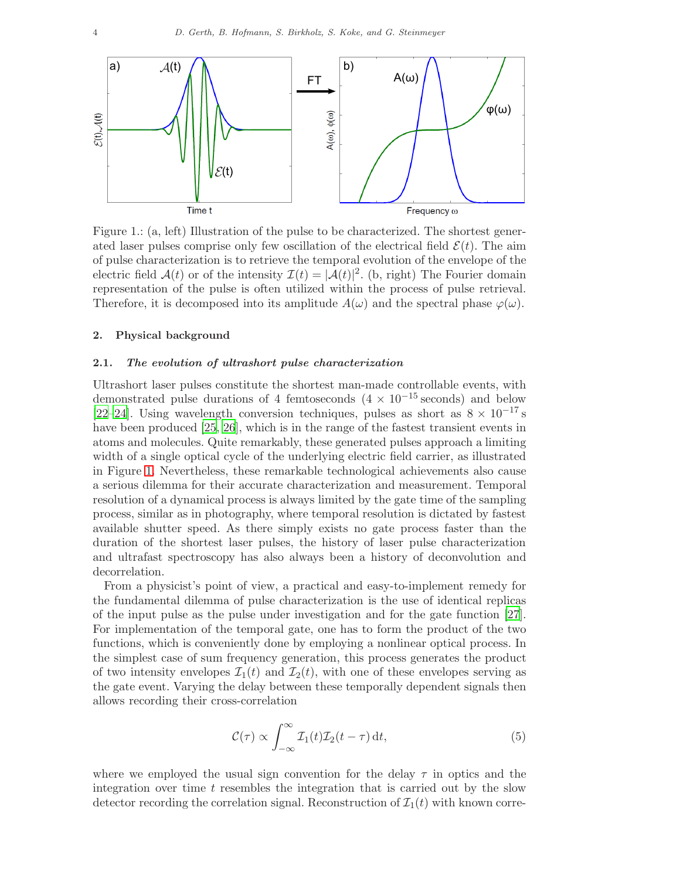<span id="page-3-0"></span>

Figure 1.: (a, left) Illustration of the pulse to be characterized. The shortest generated laser pulses comprise only few oscillation of the electrical field  $\mathcal{E}(t)$ . The aim of pulse characterization is to retrieve the temporal evolution of the envelope of the electric field  $\mathcal{A}(t)$  or of the intensity  $\mathcal{I}(t) = |\mathcal{A}(t)|^2$ . (b, right) The Fourier domain representation of the pulse is often utilized within the process of pulse retrieval. Therefore, it is decomposed into its amplitude  $A(\omega)$  and the spectral phase  $\varphi(\omega)$ .

### <span id="page-3-2"></span>2. Physical background

#### 2.1. The evolution of ultrashort pulse characterization

Ultrashort laser pulses constitute the shortest man-made controllable events, with demonstrated pulse durations of 4 femtoseconds  $(4 \times 10^{-15}$  seconds) and below [\[22](#page-19-16)[–24](#page-19-17)]. Using wavelength conversion techniques, pulses as short as  $8 \times 10^{-17}$  s have been produced [\[25,](#page-19-18) [26](#page-19-19)], which is in the range of the fastest transient events in atoms and molecules. Quite remarkably, these generated pulses approach a limiting width of a single optical cycle of the underlying electric field carrier, as illustrated in Figure [1.](#page-3-0) Nevertheless, these remarkable technological achievements also cause a serious dilemma for their accurate characterization and measurement. Temporal resolution of a dynamical process is always limited by the gate time of the sampling process, similar as in photography, where temporal resolution is dictated by fastest available shutter speed. As there simply exists no gate process faster than the duration of the shortest laser pulses, the history of laser pulse characterization and ultrafast spectroscopy has also always been a history of deconvolution and decorrelation.

From a physicist's point of view, a practical and easy-to-implement remedy for the fundamental dilemma of pulse characterization is the use of identical replicas of the input pulse as the pulse under investigation and for the gate function [\[27](#page-19-20)]. For implementation of the temporal gate, one has to form the product of the two functions, which is conveniently done by employing a nonlinear optical process. In the simplest case of sum frequency generation, this process generates the product of two intensity envelopes  $\mathcal{I}_1(t)$  and  $\mathcal{I}_2(t)$ , with one of these envelopes serving as the gate event. Varying the delay between these temporally dependent signals then allows recording their cross-correlation

<span id="page-3-1"></span>
$$
\mathcal{C}(\tau) \propto \int_{-\infty}^{\infty} \mathcal{I}_1(t) \mathcal{I}_2(t-\tau) dt, \tag{5}
$$

where we employed the usual sign convention for the delay  $\tau$  in optics and the integration over time  $t$  resembles the integration that is carried out by the slow detector recording the correlation signal. Reconstruction of  $\mathcal{I}_1(t)$  with known corre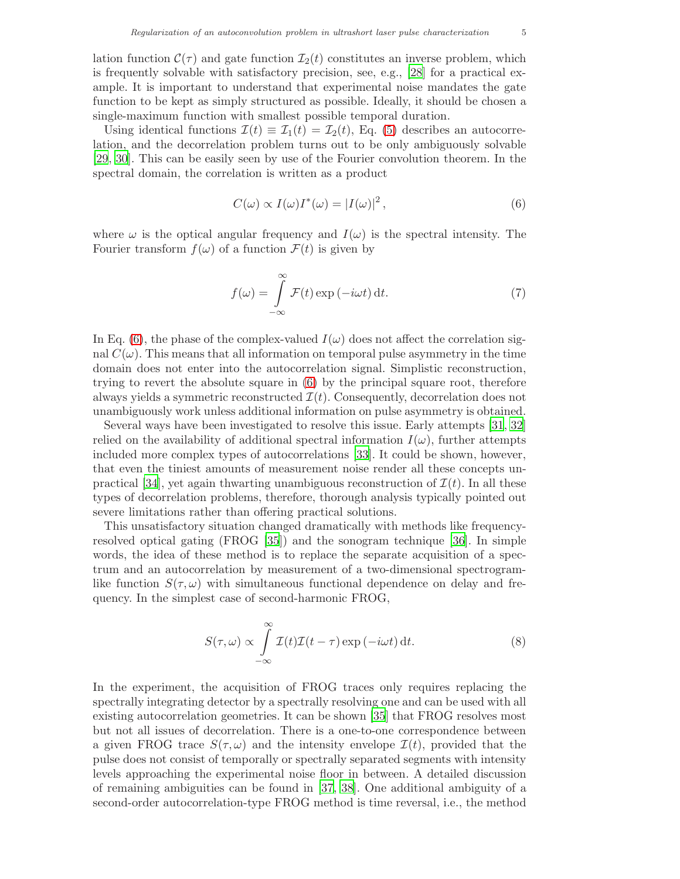lation function  $\mathcal{C}(\tau)$  and gate function  $\mathcal{I}_2(t)$  constitutes an inverse problem, which is frequently solvable with satisfactory precision, see, e.g., [\[28](#page-19-21)] for a practical example. It is important to understand that experimental noise mandates the gate function to be kept as simply structured as possible. Ideally, it should be chosen a single-maximum function with smallest possible temporal duration.

Using identical functions  $\mathcal{I}(t) \equiv \mathcal{I}_1(t) = \mathcal{I}_2(t)$ , Eq. [\(5\)](#page-3-1) describes an autocorrelation, and the decorrelation problem turns out to be only ambiguously solvable [\[29](#page-19-22), [30](#page-19-23)]. This can be easily seen by use of the Fourier convolution theorem. In the spectral domain, the correlation is written as a product

<span id="page-4-0"></span>
$$
C(\omega) \propto I(\omega)I^*(\omega) = |I(\omega)|^2, \qquad (6)
$$

where  $\omega$  is the optical angular frequency and  $I(\omega)$  is the spectral intensity. The Fourier transform  $f(\omega)$  of a function  $\mathcal{F}(t)$  is given by

$$
f(\omega) = \int_{-\infty}^{\infty} \mathcal{F}(t) \exp(-i\omega t) dt.
$$
 (7)

In Eq. [\(6\)](#page-4-0), the phase of the complex-valued  $I(\omega)$  does not affect the correlation signal  $C(\omega)$ . This means that all information on temporal pulse asymmetry in the time domain does not enter into the autocorrelation signal. Simplistic reconstruction, trying to revert the absolute square in [\(6\)](#page-4-0) by the principal square root, therefore always yields a symmetric reconstructed  $\mathcal{I}(t)$ . Consequently, decorrelation does not unambiguously work unless additional information on pulse asymmetry is obtained.

Several ways have been investigated to resolve this issue. Early attempts [\[31,](#page-19-24) [32](#page-19-25)] relied on the availability of additional spectral information  $I(\omega)$ , further attempts included more complex types of autocorrelations [\[33](#page-19-26)]. It could be shown, however, that even the tiniest amounts of measurement noise render all these concepts un-practical [\[34](#page-19-27)], yet again thwarting unambiguous reconstruction of  $\mathcal{I}(t)$ . In all these types of decorrelation problems, therefore, thorough analysis typically pointed out severe limitations rather than offering practical solutions.

This unsatisfactory situation changed dramatically with methods like frequencyresolved optical gating (FROG [\[35\]](#page-19-28)) and the sonogram technique [\[36\]](#page-20-0). In simple words, the idea of these method is to replace the separate acquisition of a spectrum and an autocorrelation by measurement of a two-dimensional spectrogramlike function  $S(\tau,\omega)$  with simultaneous functional dependence on delay and frequency. In the simplest case of second-harmonic FROG,

$$
S(\tau,\omega) \propto \int_{-\infty}^{\infty} \mathcal{I}(t)\mathcal{I}(t-\tau)\exp\left(-i\omega t\right) \mathrm{d}t.
$$
 (8)

In the experiment, the acquisition of FROG traces only requires replacing the spectrally integrating detector by a spectrally resolving one and can be used with all existing autocorrelation geometries. It can be shown [\[35](#page-19-28)] that FROG resolves most but not all issues of decorrelation. There is a one-to-one correspondence between a given FROG trace  $S(\tau,\omega)$  and the intensity envelope  $\mathcal{I}(t)$ , provided that the pulse does not consist of temporally or spectrally separated segments with intensity levels approaching the experimental noise floor in between. A detailed discussion of remaining ambiguities can be found in [\[37](#page-20-1), [38](#page-20-2)]. One additional ambiguity of a second-order autocorrelation-type FROG method is time reversal, i.e., the method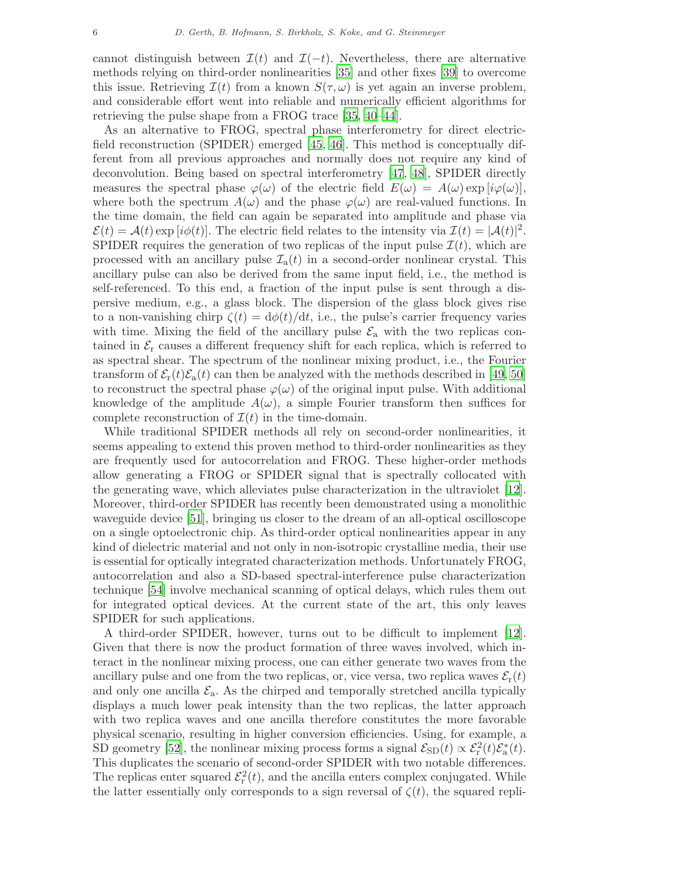cannot distinguish between  $\mathcal{I}(t)$  and  $\mathcal{I}(-t)$ . Nevertheless, there are alternative methods relying on third-order nonlinearities [\[35](#page-19-28)] and other fixes [\[39](#page-20-3)] to overcome this issue. Retrieving  $\mathcal{I}(t)$  from a known  $S(\tau,\omega)$  is yet again an inverse problem, and considerable effort went into reliable and numerically efficient algorithms for retrieving the pulse shape from a FROG trace [\[35](#page-19-28), [40](#page-20-4)[–44](#page-20-5)].

As an alternative to FROG, spectral phase interferometry for direct electricfield reconstruction (SPIDER) emerged [\[45](#page-20-6), [46](#page-20-7)]. This method is conceptually different from all previous approaches and normally does not require any kind of deconvolution. Being based on spectral interferometry [\[47](#page-20-8), [48\]](#page-20-9), SPIDER directly measures the spectral phase  $\varphi(\omega)$  of the electric field  $E(\omega) = A(\omega) \exp[i\varphi(\omega)]$ , where both the spectrum  $A(\omega)$  and the phase  $\varphi(\omega)$  are real-valued functions. In the time domain, the field can again be separated into amplitude and phase via  $\mathcal{E}(t) = \mathcal{A}(t) \exp[i\phi(t)].$  The electric field relates to the intensity via  $\mathcal{I}(t) = |\mathcal{A}(t)|^2$ . SPIDER requires the generation of two replicas of the input pulse  $\mathcal{I}(t)$ , which are processed with an ancillary pulse  $\mathcal{I}_a(t)$  in a second-order nonlinear crystal. This ancillary pulse can also be derived from the same input field, i.e., the method is self-referenced. To this end, a fraction of the input pulse is sent through a dispersive medium, e.g., a glass block. The dispersion of the glass block gives rise to a non-vanishing chirp  $\zeta(t) = d\phi(t)/dt$ , i.e., the pulse's carrier frequency varies with time. Mixing the field of the ancillary pulse  $\mathcal{E}_a$  with the two replicas contained in  $\mathcal{E}_r$  causes a different frequency shift for each replica, which is referred to as spectral shear. The spectrum of the nonlinear mixing product, i.e., the Fourier transform of  $\mathcal{E}_{r}(t)\mathcal{E}_{a}(t)$  can then be analyzed with the methods described in [\[49](#page-20-10), [50](#page-20-11)] to reconstruct the spectral phase  $\varphi(\omega)$  of the original input pulse. With additional knowledge of the amplitude  $A(\omega)$ , a simple Fourier transform then suffices for complete reconstruction of  $\mathcal{I}(t)$  in the time-domain.

While traditional SPIDER methods all rely on second-order nonlinearities, it seems appealing to extend this proven method to third-order nonlinearities as they are frequently used for autocorrelation and FROG. These higher-order methods allow generating a FROG or SPIDER signal that is spectrally collocated with the generating wave, which alleviates pulse characterization in the ultraviolet [\[12](#page-19-6)]. Moreover, third-order SPIDER has recently been demonstrated using a monolithic waveguide device [\[51\]](#page-20-12), bringing us closer to the dream of an all-optical oscilloscope on a single optoelectronic chip. As third-order optical nonlinearities appear in any kind of dielectric material and not only in non-isotropic crystalline media, their use is essential for optically integrated characterization methods. Unfortunately FROG, autocorrelation and also a SD-based spectral-interference pulse characterization technique [\[54](#page-20-13)] involve mechanical scanning of optical delays, which rules them out for integrated optical devices. At the current state of the art, this only leaves SPIDER for such applications.

A third-order SPIDER, however, turns out to be difficult to implement [\[12](#page-19-6)]. Given that there is now the product formation of three waves involved, which interact in the nonlinear mixing process, one can either generate two waves from the ancillary pulse and one from the two replicas, or, vice versa, two replica waves  $\mathcal{E}_r(t)$ and only one ancilla  $\mathcal{E}_a$ . As the chirped and temporally stretched ancilla typically displays a much lower peak intensity than the two replicas, the latter approach with two replica waves and one ancilla therefore constitutes the more favorable physical scenario, resulting in higher conversion efficiencies. Using, for example, a SD geometry [\[52](#page-20-14)], the nonlinear mixing process forms a signal  $\mathcal{E}_{SD}(t) \propto \mathcal{E}_r^2(t)\mathcal{E}_a^*(t)$ . This duplicates the scenario of second-order SPIDER with two notable differences. The replicas enter squared  $\mathcal{E}_r^2(t)$ , and the ancilla enters complex conjugated. While the latter essentially only corresponds to a sign reversal of  $\zeta(t)$ , the squared repli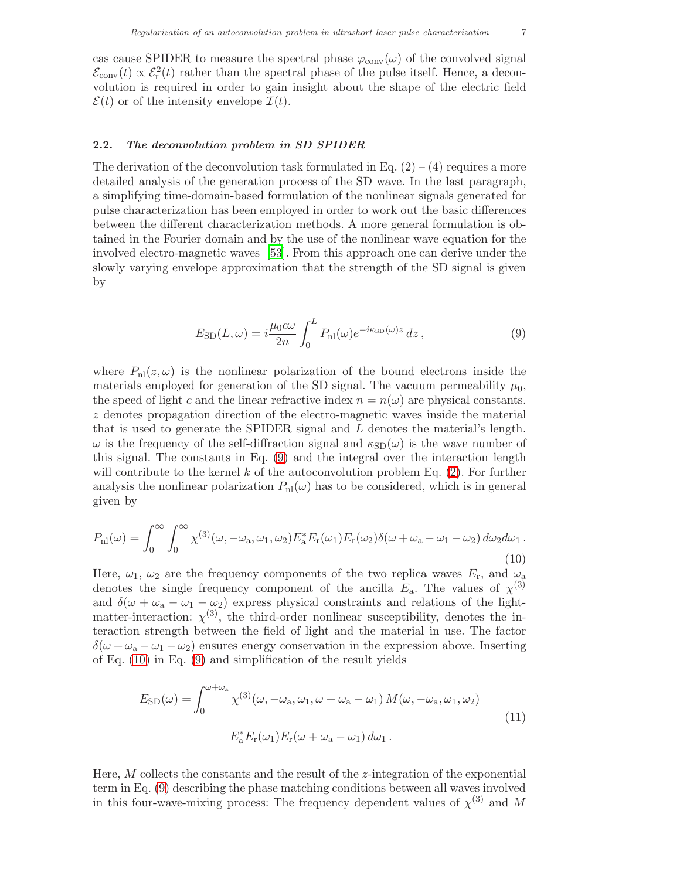cas cause SPIDER to measure the spectral phase  $\varphi_{\text{conv}}(\omega)$  of the convolved signal  $\mathcal{E}_{\text{conv}}(t) \propto \mathcal{E}_{\text{r}}^2(t)$  rather than the spectral phase of the pulse itself. Hence, a deconvolution is required in order to gain insight about the shape of the electric field  $\mathcal{E}(t)$  or of the intensity envelope  $\mathcal{I}(t)$ .

#### 2.2. The deconvolution problem in SD SPIDER

The derivation of the deconvolution task formulated in Eq.  $(2) - (4)$  requires a more detailed analysis of the generation process of the SD wave. In the last paragraph, a simplifying time-domain-based formulation of the nonlinear signals generated for pulse characterization has been employed in order to work out the basic differences between the different characterization methods. A more general formulation is obtained in the Fourier domain and by the use of the nonlinear wave equation for the involved electro-magnetic waves [\[53](#page-20-15)]. From this approach one can derive under the slowly varying envelope approximation that the strength of the SD signal is given by

<span id="page-6-0"></span>
$$
E_{\rm SD}(L,\omega) = i \frac{\mu_0 c \omega}{2n} \int_0^L P_{\rm nl}(\omega) e^{-i\kappa_{\rm SD}(\omega)z} dz, \qquad (9)
$$

where  $P_{\text{nl}}(z,\omega)$  is the nonlinear polarization of the bound electrons inside the materials employed for generation of the SD signal. The vacuum permeability  $\mu_0$ , the speed of light c and the linear refractive index  $n = n(\omega)$  are physical constants. z denotes propagation direction of the electro-magnetic waves inside the material that is used to generate the SPIDER signal and L denotes the material's length.  $ω$  is the frequency of the self-diffraction signal and  $\kappa_{SD}(ω)$  is the wave number of this signal. The constants in Eq. [\(9\)](#page-6-0) and the integral over the interaction length will contribute to the kernel k of the autoconvolution problem Eq.  $(2)$ . For further analysis the nonlinear polarization  $P_{\text{nl}}(\omega)$  has to be considered, which is in general given by

<span id="page-6-1"></span>
$$
P_{\rm nl}(\omega) = \int_0^\infty \int_0^\infty \chi^{(3)}(\omega, -\omega_{\rm a}, \omega_1, \omega_2) E_{\rm a}^* E_{\rm r}(\omega_1) E_{\rm r}(\omega_2) \delta(\omega + \omega_{\rm a} - \omega_1 - \omega_2) d\omega_2 d\omega_1.
$$
\n(10)

Here,  $\omega_1$ ,  $\omega_2$  are the frequency components of the two replica waves  $E_r$ , and  $\omega_a$ denotes the single frequency component of the ancilla  $E_a$ . The values of  $\chi^{(3)}$ and  $\delta(\omega + \omega_a - \omega_1 - \omega_2)$  express physical constraints and relations of the lightmatter-interaction:  $\chi^{(3)}$ , the third-order nonlinear susceptibility, denotes the interaction strength between the field of light and the material in use. The factor  $\delta(\omega + \omega_a - \omega_1 - \omega_2)$  ensures energy conservation in the expression above. Inserting of Eq. [\(10\)](#page-6-1) in Eq. [\(9\)](#page-6-0) and simplification of the result yields

$$
E_{\rm SD}(\omega) = \int_0^{\omega + \omega_a} \chi^{(3)}(\omega, -\omega_a, \omega_1, \omega + \omega_a - \omega_1) M(\omega, -\omega_a, \omega_1, \omega_2)
$$
  

$$
E_a^* E_r(\omega_1) E_r(\omega + \omega_a - \omega_1) d\omega_1.
$$
 (11)

<span id="page-6-2"></span>Here,  $M$  collects the constants and the result of the z-integration of the exponential term in Eq. [\(9\)](#page-6-0) describing the phase matching conditions between all waves involved in this four-wave-mixing process: The frequency dependent values of  $\chi^{(3)}$  and M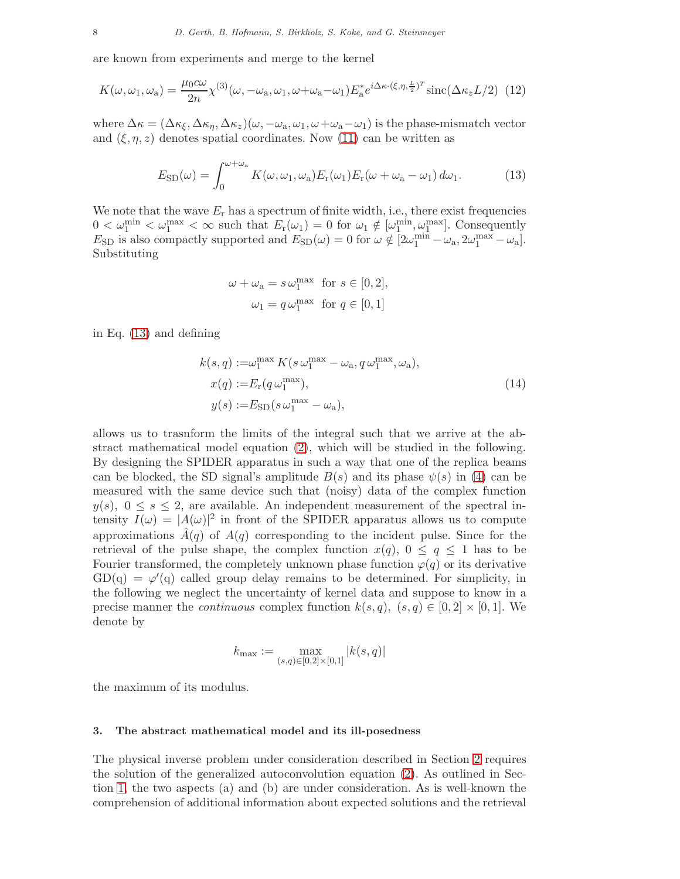are known from experiments and merge to the kernel

<span id="page-7-1"></span>
$$
K(\omega, \omega_1, \omega_a) = \frac{\mu_0 c \omega}{2n} \chi^{(3)}(\omega, -\omega_a, \omega_1, \omega + \omega_a - \omega_1) E_a^* e^{i\Delta \kappa \cdot (\xi, \eta, \frac{L}{2})^T} \text{sinc}(\Delta \kappa_z L/2)
$$
 (12)

where  $\Delta \kappa = (\Delta \kappa_{\xi}, \Delta \kappa_{\eta}, \Delta \kappa_{z})(\omega, -\omega_{a}, \omega_{1}, \omega + \omega_{a} - \omega_{1})$  is the phase-mismatch vector and  $(\xi, \eta, z)$  denotes spatial coordinates. Now [\(11\)](#page-6-2) can be written as

<span id="page-7-0"></span>
$$
E_{\text{SD}}(\omega) = \int_0^{\omega + \omega_a} K(\omega, \omega_1, \omega_a) E_r(\omega_1) E_r(\omega + \omega_a - \omega_1) d\omega_1.
$$
 (13)

We note that the wave  $E_r$  has a spectrum of finite width, i.e., there exist frequencies  $0 < \omega_1^{\min} < \omega_1^{\max} < \infty$  such that  $E_r(\omega_1) = 0$  for  $\omega_1 \notin [\omega_1^{\min}, \omega_1^{\max}]$ . Consequently  $E_{\text{SD}}$  is also compactly supported and  $E_{\text{SD}}(\omega) = 0$  for  $\omega \notin [2\omega_1^{\text{min}} - \omega_a, 2\omega_1^{\text{max}} - \omega_a]$ . Substituting

$$
\omega + \omega_{a} = s \omega_{1}^{\max} \text{ for } s \in [0, 2],
$$
  

$$
\omega_{1} = q \omega_{1}^{\max} \text{ for } q \in [0, 1]
$$

in Eq. [\(13\)](#page-7-0) and defining

$$
k(s,q) := \omega_1^{\max} K(s \omega_1^{\max} - \omega_a, q \omega_1^{\max}, \omega_a),
$$
  
\n
$$
x(q) := E_r(q \omega_1^{\max}),
$$
  
\n
$$
y(s) := E_{SD}(s \omega_1^{\max} - \omega_a),
$$
\n(14)

allows us to trasnform the limits of the integral such that we arrive at the abstract mathematical model equation [\(2\)](#page-1-1), which will be studied in the following. By designing the SPIDER apparatus in such a way that one of the replica beams can be blocked, the SD signal's amplitude  $B(s)$  and its phase  $\psi(s)$  in [\(4\)](#page-1-3) can be measured with the same device such that (noisy) data of the complex function  $y(s), 0 \leq s \leq 2$ , are available. An independent measurement of the spectral intensity  $I(\omega) = |A(\omega)|^2$  in front of the SPIDER apparatus allows us to compute approximations  $\hat{A}(q)$  of  $A(q)$  corresponding to the incident pulse. Since for the retrieval of the pulse shape, the complex function  $x(q)$ ,  $0 \leq q \leq 1$  has to be Fourier transformed, the completely unknown phase function  $\varphi(q)$  or its derivative  $GD(q) = \varphi'(q)$  called group delay remains to be determined. For simplicity, in the following we neglect the uncertainty of kernel data and suppose to know in a precise manner the *continuous* complex function  $k(s, q)$ ,  $(s, q) \in [0, 2] \times [0, 1]$ . We denote by

$$
k_{\max} := \max_{(s,q) \in [0,2] \times [0,1]} |k(s,q)|
$$

the maximum of its modulus.

### 3. The abstract mathematical model and its ill-posedness

The physical inverse problem under consideration described in Section [2](#page-3-2) requires the solution of the generalized autoconvolution equation [\(2\)](#page-1-1). As outlined in Section [1,](#page-0-0) the two aspects (a) and (b) are under consideration. As is well-known the comprehension of additional information about expected solutions and the retrieval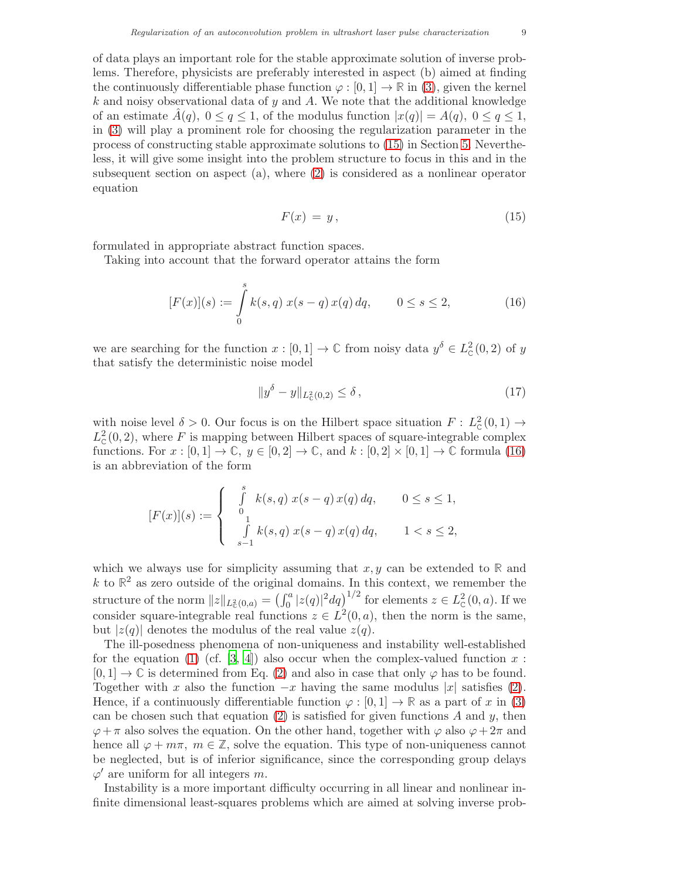of data plays an important role for the stable approximate solution of inverse problems. Therefore, physicists are preferably interested in aspect (b) aimed at finding the continuously differentiable phase function  $\varphi : [0,1] \to \mathbb{R}$  in [\(3\)](#page-1-2), given the kernel  $k$  and noisy observational data of y and A. We note that the additional knowledge of an estimate  $A(q)$ ,  $0 \le q \le 1$ , of the modulus function  $|x(q)| = A(q)$ ,  $0 \le q \le 1$ , in [\(3\)](#page-1-2) will play a prominent role for choosing the regularization parameter in the process of constructing stable approximate solutions to [\(15\)](#page-8-0) in Section [5.](#page-11-0) Nevertheless, it will give some insight into the problem structure to focus in this and in the subsequent section on aspect (a), where [\(2\)](#page-1-1) is considered as a nonlinear operator equation

<span id="page-8-0"></span>
$$
F(x) = y, \tag{15}
$$

formulated in appropriate abstract function spaces.

Taking into account that the forward operator attains the form

<span id="page-8-1"></span>
$$
[F(x)](s) := \int_{0}^{s} k(s, q) x(s - q) x(q) dq, \qquad 0 \le s \le 2,
$$
 (16)

we are searching for the function  $x : [0,1] \to \mathbb{C}$  from noisy data  $y^{\delta} \in L^2_{\mathbb{C}}(0,2)$  of y that satisfy the deterministic noise model

$$
||y^{\delta} - y||_{L_{\mathbb{C}}^2(0,2)} \le \delta , \qquad (17)
$$

with noise level  $\delta > 0$ . Our focus is on the Hilbert space situation  $F: L^2(\mathfrak{c}(0,1)) \to$  $L^2_{\rm c}(0,2)$ , where F is mapping between Hilbert spaces of square-integrable complex functions. For  $x : [0,1] \to \mathbb{C}$ ,  $y \in [0,2] \to \mathbb{C}$ , and  $k : [0,2] \times [0,1] \to \mathbb{C}$  formula [\(16\)](#page-8-1) is an abbreviation of the form

$$
[F(x)](s) := \begin{cases} \int\limits_{0}^{s} k(s,q) \ x(s-q) \ x(q) \ dq, & 0 \le s \le 1, \\ \int\limits_{s-1}^{1} k(s,q) \ x(s-q) \ x(q) \ dq, & 1 < s \le 2, \end{cases}
$$

which we always use for simplicity assuming that  $x, y$  can be extended to  $\mathbb{R}$  and k to  $\mathbb{R}^2$  as zero outside of the original domains. In this context, we remember the structure of the norm  $||z||_{L^2_{\mathbb{C}}(0,a)} = (\int_0^a |z(q)|^2 dq)^{1/2}$  for elements  $z \in L^2_{\mathbb{C}}(0,a)$ . If we consider square-integrable real functions  $z \in L^2(0, a)$ , then the norm is the same, but  $|z(q)|$  denotes the modulus of the real value  $z(q)$ .

The ill-posedness phenomena of non-uniqueness and instability well-established for the equation [\(1\)](#page-1-0) (cf. [\[3,](#page-19-2) [4\]](#page-19-3)) also occur when the complex-valued function  $x$ :  $[0, 1] \rightarrow \mathbb{C}$  is determined from Eq. [\(2\)](#page-1-1) and also in case that only  $\varphi$  has to be found. Together with x also the function  $-x$  having the same modulus  $|x|$  satisfies [\(2\)](#page-1-1). Hence, if a continuously differentiable function  $\varphi : [0,1] \to \mathbb{R}$  as a part of x in [\(3\)](#page-1-2) can be chosen such that equation [\(2\)](#page-1-1) is satisfied for given functions A and y, then  $\varphi + \pi$  also solves the equation. On the other hand, together with  $\varphi$  also  $\varphi + 2\pi$  and hence all  $\varphi + m\pi$ ,  $m \in \mathbb{Z}$ , solve the equation. This type of non-uniqueness cannot be neglected, but is of inferior significance, since the corresponding group delays  $\varphi'$  are uniform for all integers m.

Instability is a more important difficulty occurring in all linear and nonlinear infinite dimensional least-squares problems which are aimed at solving inverse prob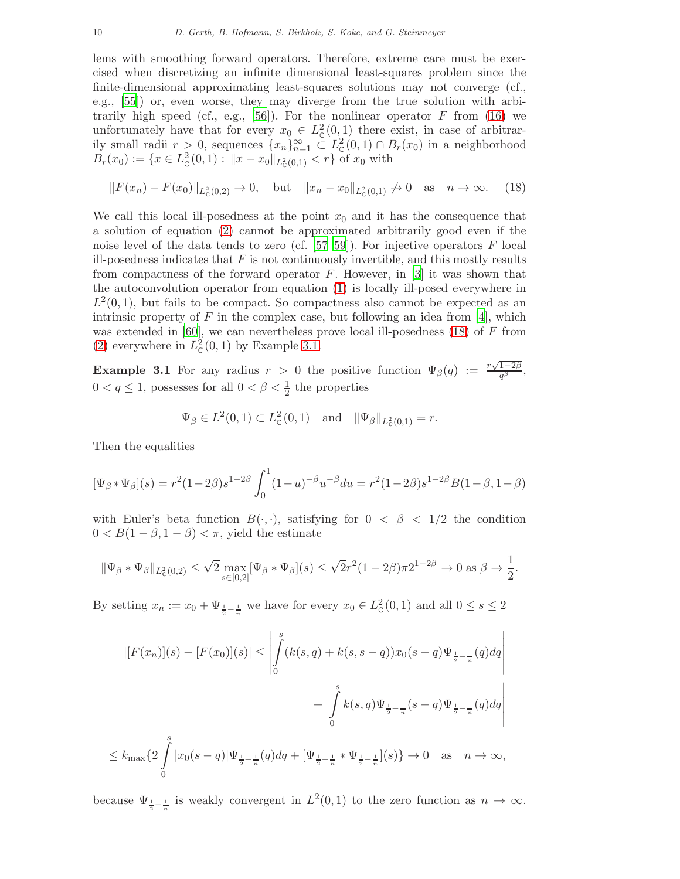lems with smoothing forward operators. Therefore, extreme care must be exercised when discretizing an infinite dimensional least-squares problem since the finite-dimensional approximating least-squares solutions may not converge (cf., e.g., [\[55\]](#page-20-16)) or, even worse, they may diverge from the true solution with arbi-trarily high speed (cf., e.g., [\[56](#page-20-17)]). For the nonlinear operator F from [\(16\)](#page-8-1) we unfortunately have that for every  $x_0 \in L^2_{\mathbb{C}}$  $\frac{2}{2}(0,1)$  there exist, in case of arbitrarily small radii  $r > 0$ , sequences  $\{x_n\}_{n=1}^{\infty}$  ⊂  $L^2(\Omega, 1) \cap B_r(x_0)$  in a neighborhood  $B_r(x_0) := \{x \in L^2_c(0,1) : ||x - x_0||_{L^2_c(0,1)} < r\}$  of  $x_0$  with

<span id="page-9-0"></span>
$$
||F(x_n) - F(x_0)||_{L_c^2(0,2)} \to 0, \quad \text{but} \quad ||x_n - x_0||_{L_c^2(0,1)} \to 0 \quad \text{as} \quad n \to \infty. \tag{18}
$$

We call this local ill-posedness at the point  $x_0$  and it has the consequence that a solution of equation [\(2\)](#page-1-1) cannot be approximated arbitrarily good even if the noise level of the data tends to zero (cf.  $[57–59]$  $[57–59]$ ). For injective operators F local ill-posedness indicates that  $F$  is not continuously invertible, and this mostly results from compactness of the forward operator  $F$ . However, in [\[3\]](#page-19-2) it was shown that the autoconvolution operator from equation [\(1\)](#page-1-0) is locally ill-posed everywhere in  $L^2(0,1)$ , but fails to be compact. So compactness also cannot be expected as an intrinsic property of  $F$  in the complex case, but following an idea from [\[4](#page-19-3)], which was extended in  $[60]$ , we can nevertheless prove local ill-posedness  $(18)$  of F from [\(2\)](#page-1-1) everywhere in  $L^2(\mathbf{0},1)$  by Example [3.1.](#page-9-1)

<span id="page-9-1"></span>**Example 3.1** For any radius  $r > 0$  the positive function  $\Psi_{\beta}(q) := \frac{r\sqrt{1-2\beta}}{q^{\beta}},$  $0 < q \leq 1$ , possesses for all  $0 < \beta < \frac{1}{2}$  the properties

$$
\Psi_{\beta} \in L^2(0,1) \subset L^2_{\mathcal{C}}(0,1)
$$
 and  $\|\Psi_{\beta}\|_{L^2_{\mathcal{C}}(0,1)} = r$ .

Then the equalities

$$
[\Psi_{\beta} * \Psi_{\beta}](s) = r^2 (1 - 2\beta) s^{1 - 2\beta} \int_0^1 (1 - u)^{-\beta} u^{-\beta} du = r^2 (1 - 2\beta) s^{1 - 2\beta} B(1 - \beta, 1 - \beta)
$$

with Euler's beta function  $B(\cdot, \cdot)$ , satisfying for  $0 < \beta < 1/2$  the condition  $0 < B(1 - \beta, 1 - \beta) < \pi$ , yield the estimate

$$
\|\Psi_{\beta} * \Psi_{\beta}\|_{L_{\mathbb{C}}^2(0,2)} \leq \sqrt{2} \max_{s \in [0,2]} [\Psi_{\beta} * \Psi_{\beta}](s) \leq \sqrt{2}r^2(1-2\beta)\pi 2^{1-2\beta} \to 0 \text{ as } \beta \to \frac{1}{2}.
$$

By setting  $x_n := x_0 + \Psi_{\frac{1}{2} - \frac{1}{n}}$  we have for every  $x_0 \in L^2_c(0, 1)$  and all  $0 \le s \le 2$ 

$$
| [F(x_n)](s) - [F(x_0)](s) | \le \left| \int_0^s (k(s, q) + k(s, s - q)) x_0 (s - q) \Psi_{\frac{1}{2} - \frac{1}{n}}(q) dq \right|
$$
  
+ 
$$
\left| \int_0^s k(s, q) \Psi_{\frac{1}{2} - \frac{1}{n}}(s - q) \Psi_{\frac{1}{2} - \frac{1}{n}}(q) dq \right|
$$
  

$$
\le k_{\max} \{ 2 \int_0^s |x_0 (s - q)| \Psi_{\frac{1}{2} - \frac{1}{n}}(q) dq + [\Psi_{\frac{1}{2} - \frac{1}{n}} * \Psi_{\frac{1}{2} - \frac{1}{n}}](s) \} \to 0 \text{ as } n \to \infty,
$$

because  $\Psi_{\frac{1}{2}-\frac{1}{n}}$  is weakly convergent in  $L^2(0,1)$  to the zero function as  $n \to \infty$ .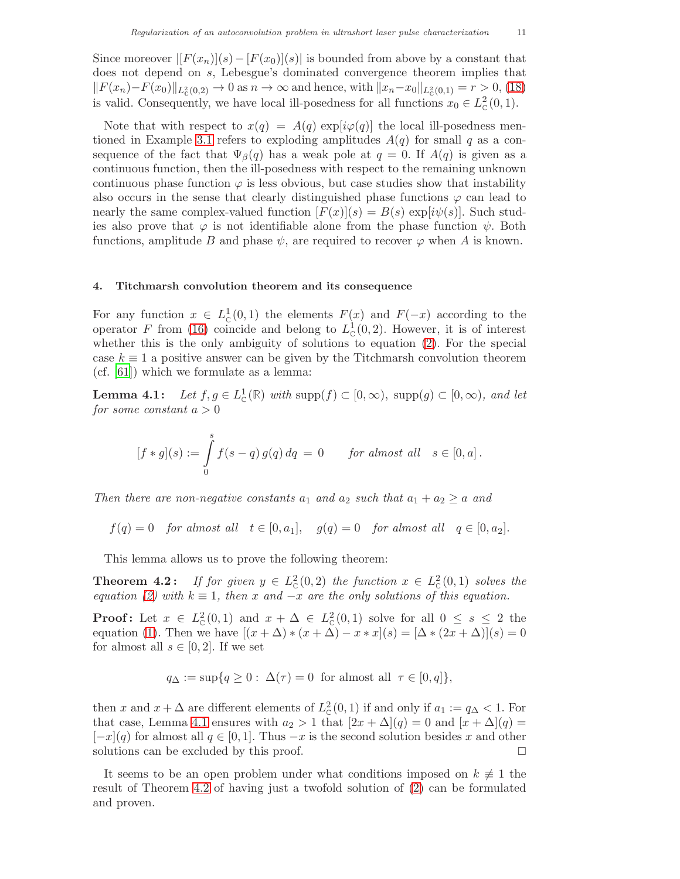Since moreover  $[F(x_n)](s)-[F(x_0)](s)]$  is bounded from above by a constant that does not depend on s, Lebesgue's dominated convergence theorem implies that  $||F(x_n)-F(x_0)||_{L^2_{\mathbb{C}}(0,2)} \to 0$  as  $n \to \infty$  and hence, with  $||x_n-x_0||_{L^2_{\mathbb{C}}(0,1)} = r > 0$ , [\(18\)](#page-9-0) is valid. Consequently, we have local ill-posedness for all functions  $x_0 \in L^2_c(0,1)$ .

Note that with respect to  $x(q) = A(q) \exp[i\varphi(q)]$  the local ill-posedness men-tioned in Example [3.1](#page-9-1) refers to exploding amplitudes  $A(q)$  for small q as a consequence of the fact that  $\Psi_{\beta}(q)$  has a weak pole at  $q = 0$ . If  $A(q)$  is given as a continuous function, then the ill-posedness with respect to the remaining unknown continuous phase function  $\varphi$  is less obvious, but case studies show that instability also occurs in the sense that clearly distinguished phase functions  $\varphi$  can lead to nearly the same complex-valued function  $[F(x)](s) = B(s) \exp[i\psi(s)]$ . Such studies also prove that  $\varphi$  is not identifiable alone from the phase function  $\psi$ . Both functions, amplitude B and phase  $\psi$ , are required to recover  $\varphi$  when A is known.

### 4. Titchmarsh convolution theorem and its consequence

For any function  $x \in L^1_c(0,1)$  the elements  $F(x)$  and  $F(-x)$  according to the operator F from [\(16\)](#page-8-1) coincide and belong to  $L^1_{\mathcal{C}}(0, 2)$ . However, it is of interest whether this is the only ambiguity of solutions to equation [\(2\)](#page-1-1). For the special case  $k \equiv 1$  a positive answer can be given by the Titchmarsh convolution theorem (cf. [\[61\]](#page-20-21)) which we formulate as a lemma:

<span id="page-10-0"></span>**Lemma 4.1:** Let  $f, g \in L^1_c(\mathbb{R})$  with  $\text{supp}(f) \subset [0, \infty)$ ,  $\text{supp}(g) \subset [0, \infty)$ , and let for some constant  $a > 0$ 

$$
[f * g](s) := \int_{0}^{s} f(s - q) g(q) dq = 0 \quad \text{for almost all} \quad s \in [0, a].
$$

Then there are non-negative constants  $a_1$  and  $a_2$  such that  $a_1 + a_2 \ge a$  and

 $f(q) = 0$  for almost all  $t \in [0, a_1], g(q) = 0$  for almost all  $q \in [0, a_2].$ 

<span id="page-10-1"></span>This lemma allows us to prove the following theorem:

**Theorem 4.2:** If for given  $y \in L^2_{\mathcal{C}}(0,2)$  the function  $x \in L^2_{\mathcal{C}}(0,1)$  solves the equation [\(2\)](#page-1-1) with  $k \equiv 1$ , then x and  $-x$  are the only solutions of this equation.

**Proof:** Let  $x \in L^2_{\mathcal{C}}(0,1)$  and  $x + \Delta \in L^2_{\mathcal{C}}(0,1)$  solve for all  $0 \leq s \leq 2$  the equation [\(1\)](#page-1-0). Then we have  $[(x + \Delta) * (x + \Delta) - x * x](s) = [\Delta * (2x + \Delta)](s) = 0$ for almost all  $s \in [0,2]$ . If we set

$$
q_{\Delta} := \sup\{q \ge 0: \ \Delta(\tau) = 0 \text{ for almost all } \tau \in [0, q]\},
$$

then x and  $x + \Delta$  are different elements of  $L^2(\mathbf{0}, 1)$  if and only if  $a_1 := q_\Delta < 1$ . For that case, Lemma [4.1](#page-10-0) ensures with  $a_2 > 1$  that  $[2x + \Delta](q) = 0$  and  $[x + \Delta](q) =$  $[-x](q)$  for almost all  $q \in [0, 1]$ . Thus  $-x$  is the second solution besides x and other solutions can be excluded by this proof. solutions can be excluded by this proof.

It seems to be an open problem under what conditions imposed on  $k \neq 1$  the result of Theorem [4.2](#page-10-1) of having just a twofold solution of [\(2\)](#page-1-1) can be formulated and proven.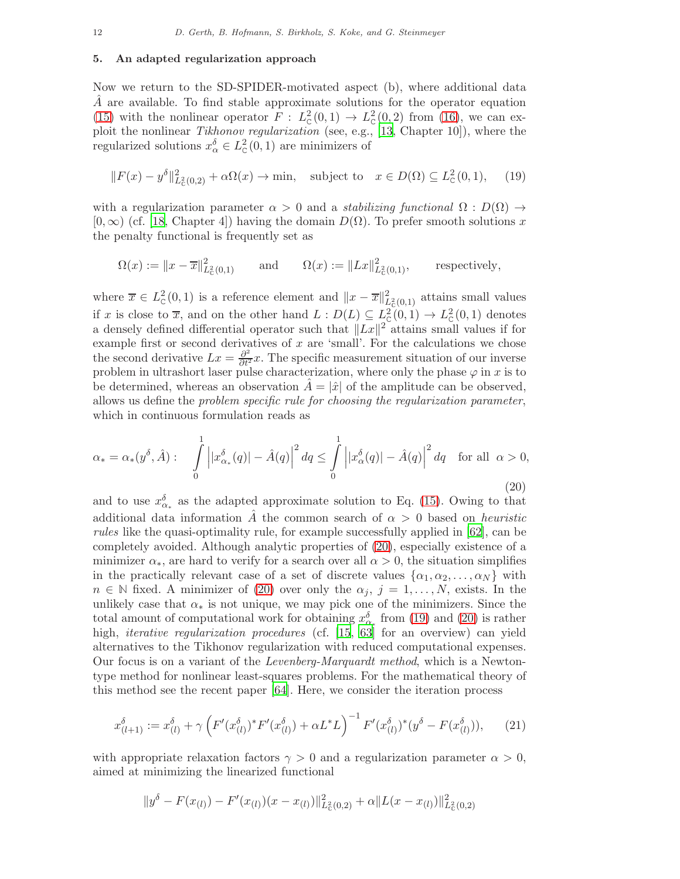## <span id="page-11-0"></span>5. An adapted regularization approach

Now we return to the SD-SPIDER-motivated aspect (b), where additional data  $\hat{A}$  are available. To find stable approximate solutions for the operator equation [\(15\)](#page-8-0) with the nonlinear operator  $F: L^2(\mathbf{0},1) \to L^2(\mathbf{0},2)$  from [\(16\)](#page-8-1), we can exploit the nonlinear Tikhonov regularization (see, e.g., [\[13,](#page-19-7) Chapter 10]), where the regularized solutions  $x_{\alpha}^{\delta} \in L^2_{\mathcal{C}}(0, 1)$  are minimizers of

<span id="page-11-2"></span>
$$
||F(x) - y^{\delta}||_{L^2(\Omega,2)}^2 + \alpha \Omega(x) \to \min, \quad \text{subject to} \quad x \in D(\Omega) \subseteq L^2(\Omega,1), \tag{19}
$$

with a regularization parameter  $\alpha > 0$  and a stabilizing functional  $\Omega : D(\Omega) \rightarrow$  $[0,\infty)$  (cf. [\[18](#page-19-12), Chapter 4]) having the domain  $D(\Omega)$ . To prefer smooth solutions x the penalty functional is frequently set as

$$
\Omega(x) := \|x - \overline{x}\|_{L^2_{\mathbb{C}}(0,1)}^2 \quad \text{and} \quad \Omega(x) := \|Lx\|_{L^2_{\mathbb{C}}(0,1)}^2, \quad \text{respectively,}
$$

where  $\overline{x} \in L^2_{\mathcal{C}}(0,1)$  is a reference element and  $||x - \overline{x}||^2_{L^2_{\mathcal{C}}(0,1)}$  attains small values if x is close to  $\overline{x}$ , and on the other hand  $L: D(L) \subseteq L^2_{\mathcal{C}}(0,1) \to L^2_{\mathcal{C}}(0,1)$  denotes a densely defined differential operator such that  $||Lx||^2$  attains small values if for example first or second derivatives of  $x$  are 'small'. For the calculations we chose the second derivative  $Lx = \frac{\partial^2}{\partial t^2}x$ . The specific measurement situation of our inverse problem in ultrashort laser pulse characterization, where only the phase  $\varphi$  in x is to be determined, whereas an observation  $A = |\hat{x}|$  of the amplitude can be observed, allows us define the problem specific rule for choosing the regularization parameter, which in continuous formulation reads as

<span id="page-11-1"></span>
$$
\alpha_{*} = \alpha_{*}(y^{\delta}, \hat{A}) : \int_{0}^{1} \left| |x_{\alpha_{*}}^{\delta}(q)| - \hat{A}(q) \right|^{2} dq \le \int_{0}^{1} \left| |x_{\alpha}^{\delta}(q)| - \hat{A}(q) \right|^{2} dq \quad \text{for all } \alpha > 0,
$$
\n(20)

and to use  $x_{\alpha_*}^{\delta}$  as the adapted approximate solution to Eq. [\(15\)](#page-8-0). Owing to that additional data information  $\hat{A}$  the common search of  $\alpha > 0$  based on *heuristic* rules like the quasi-optimality rule, for example successfully applied in [\[62\]](#page-20-22), can be completely avoided. Although analytic properties of [\(20\)](#page-11-1), especially existence of a minimizer  $\alpha_*$ , are hard to verify for a search over all  $\alpha > 0$ , the situation simplifies in the practically relevant case of a set of discrete values  $\{\alpha_1, \alpha_2, \ldots, \alpha_N\}$  with  $n \in \mathbb{N}$  fixed. A minimizer of [\(20\)](#page-11-1) over only the  $\alpha_j$ ,  $j = 1, \ldots, N$ , exists. In the unlikely case that  $\alpha_*$  is not unique, we may pick one of the minimizers. Since the total amount of computational work for obtaining  $x_{\alpha_*}^{\delta}$  from [\(19\)](#page-11-2) and [\(20\)](#page-11-1) is rather high, *iterative regularization procedures* (cf. [\[15,](#page-19-9) [63](#page-20-23)] for an overview) can yield alternatives to the Tikhonov regularization with reduced computational expenses. Our focus is on a variant of the Levenberg-Marquardt method, which is a Newtontype method for nonlinear least-squares problems. For the mathematical theory of this method see the recent paper [\[64](#page-20-24)]. Here, we consider the iteration process

<span id="page-11-3"></span>
$$
x_{(l+1)}^{\delta} := x_{(l)}^{\delta} + \gamma \left( F'(x_{(l)}^{\delta})^* F'(x_{(l)}^{\delta}) + \alpha L^* L \right)^{-1} F'(x_{(l)}^{\delta})^* (y^{\delta} - F(x_{(l)}^{\delta})), \tag{21}
$$

with appropriate relaxation factors  $\gamma > 0$  and a regularization parameter  $\alpha > 0$ , aimed at minimizing the linearized functional

$$
||y^{\delta} - F(x_{(l)}) - F'(x_{(l)})(x - x_{(l)})||_{L_{\mathbb{C}}^2(0,2)}^2 + \alpha ||L(x - x_{(l)})||_{L_{\mathbb{C}}^2(0,2)}^2
$$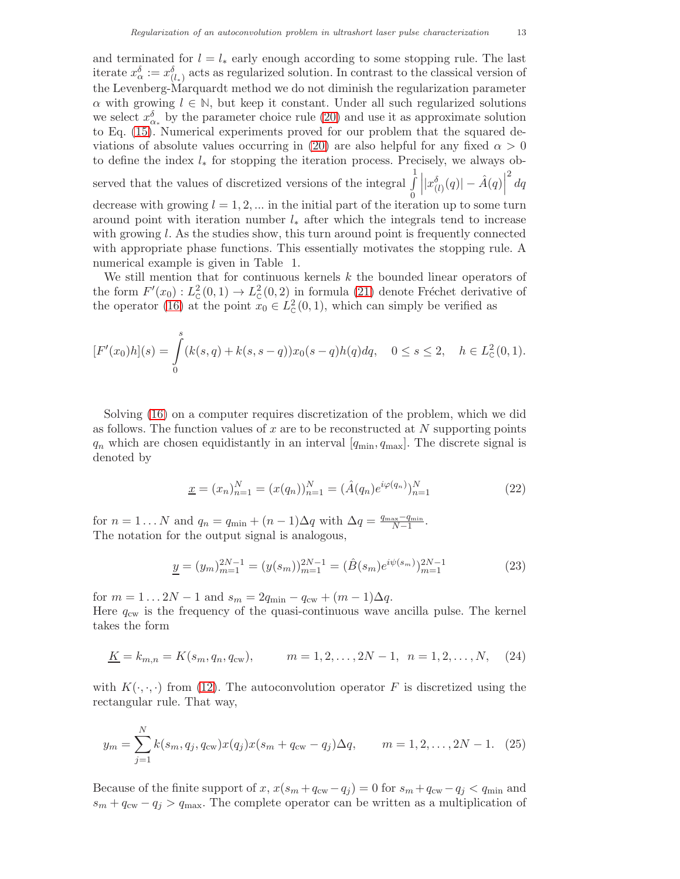and terminated for  $l = l_*$  early enough according to some stopping rule. The last iterate  $x_{\alpha}^{\delta} := x_{(l_*)}^{\delta}$  acts as regularized solution. In contrast to the classical version of the Levenberg-Marquardt method we do not diminish the regularization parameter  $\alpha$  with growing  $l \in \mathbb{N}$ , but keep it constant. Under all such regularized solutions we select  $x_{\alpha_*}^{\delta}$  by the parameter choice rule [\(20\)](#page-11-1) and use it as approximate solution to Eq. [\(15\)](#page-8-0). Numerical experiments proved for our problem that the squared de-viations of absolute values occurring in [\(20\)](#page-11-1) are also helpful for any fixed  $\alpha > 0$ to define the index l<sup>∗</sup> for stopping the iteration process. Precisely, we always observed that the values of discretized versions of the integral  $\int_{0}^{1}$  $\mathbf{0}$  $\left| x_{(l)}^{\delta}(q) \right| - \hat{A}(q) \right|$  $\frac{2}{dq}$ decrease with growing  $l = 1, 2, \dots$  in the initial part of the iteration up to some turn around point with iteration number  $l_*$  after which the integrals tend to increase with growing l. As the studies show, this turn around point is frequently connected with appropriate phase functions. This essentially motivates the stopping rule. A numerical example is given in Table 1.

We still mention that for continuous kernels k the bounded linear operators of the form  $F'(x_0): L^2_c(0,1) \to L^2_c(0,2)$  in formula [\(21\)](#page-11-3) denote Fréchet derivative of the operator [\(16\)](#page-8-1) at the point  $x_0 \in L^2(\mathbf{0}, \mathbf{1})$ , which can simply be verified as

$$
[F'(x_0)h](s) = \int_0^s (k(s,q) + k(s,s-q))x_0(s-q)h(q)dq, \quad 0 \le s \le 2, \quad h \in L^2_c(0,1).
$$

Solving [\(16\)](#page-8-1) on a computer requires discretization of the problem, which we did as follows. The function values of  $x$  are to be reconstructed at  $N$  supporting points  $q_n$  which are chosen equidistantly in an interval  $[q_{\min}, q_{\max}]$ . The discrete signal is denoted by

$$
\underline{x} = (x_n)_{n=1}^N = (x(q_n))_{n=1}^N = (\hat{A}(q_n)e^{i\varphi(q_n)})_{n=1}^N
$$
\n(22)

for  $n = 1...N$  and  $q_n = q_{\min} + (n-1)\Delta q$  with  $\Delta q = \frac{q_{\max} - q_{\min}}{N-1}$  $\frac{1}{N-1}$ . The notation for the output signal is analogous,

$$
\underline{y} = (y_m)_{m=1}^{2N-1} = (y(s_m))_{m=1}^{2N-1} = (\hat{B}(s_m)e^{i\psi(s_m)})_{m=1}^{2N-1}
$$
(23)

for  $m = 1...2N - 1$  and  $s_m = 2q_{\min} - q_{\text{cw}} + (m - 1)\Delta q$ . Here  $q_{\rm cw}$  is the frequency of the quasi-continuous wave ancilla pulse. The kernel takes the form

$$
K = km,n = K(sm, qn, qcw), \t m = 1, 2, ..., 2N - 1, n = 1, 2, ..., N,
$$
 (24)

with  $K(\cdot, \cdot)$  from [\(12\)](#page-7-1). The autoconvolution operator F is discretized using the rectangular rule. That way,

$$
y_m = \sum_{j=1}^{N} k(s_m, q_j, q_{\text{cw}}) x(q_j) x(s_m + q_{\text{cw}} - q_j) \Delta q, \qquad m = 1, 2, ..., 2N - 1.
$$
 (25)

Because of the finite support of x,  $x(s_m + q_{\text{cw}} - q_i) = 0$  for  $s_m + q_{\text{cw}} - q_i < q_{\text{min}}$  and  $s_m + q_{\text{cw}} - q_j > q_{\text{max}}$ . The complete operator can be written as a multiplication of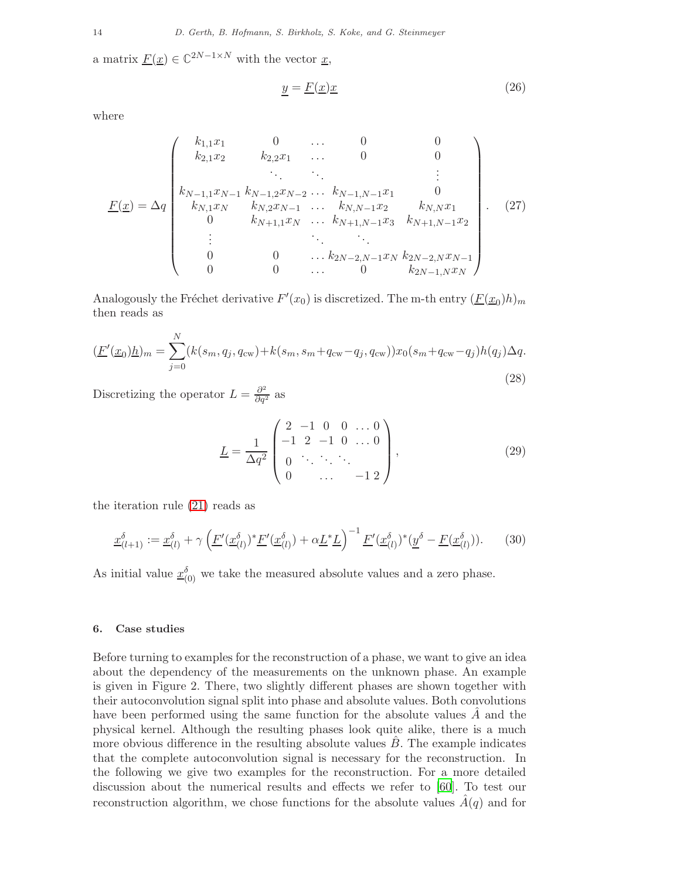a matrix  $\underline{F}(\underline{x}) \in \mathbb{C}^{2N-1 \times N}$  with the vector  $\underline{x}$ ,

<span id="page-13-0"></span>
$$
\underline{y} = \underline{F}(\underline{x})\underline{x} \tag{26}
$$

where

<span id="page-13-1"></span>
$$
\underline{F}(\underline{x}) = \Delta q \begin{pmatrix} k_{1,1}x_1 & 0 & \dots & 0 & 0 \\ k_{2,1}x_2 & k_{2,2}x_1 & \dots & 0 & 0 \\ \vdots & \vdots & \ddots & \vdots & \vdots \\ k_{N-1,1}x_{N-1} & k_{N-1,2}x_{N-2} & \dots & k_{N-1,N-1}x_1 & 0 \\ k_{N,1}x_N & k_{N,2}x_{N-1} & \dots & k_{N,N-1}x_2 & k_{N,N}x_1 \\ 0 & k_{N+1,1}x_N & \dots & k_{N+1,N-1}x_3 & k_{N+1,N-1}x_2 \\ \vdots & \vdots & \ddots & \vdots & \vdots \\ 0 & 0 & \dots & k_{2N-2,N-1}x_N & k_{2N-2,N}x_{N-1} \\ 0 & 0 & \dots & 0 & k_{2N-1,N}x_N \end{pmatrix} .
$$
 (27)

Analogously the Fréchet derivative  $F'(x_0)$  is discretized. The m-th entry  $(\underline{F}(\underline{x}_0)h)_m$ then reads as

$$
(\underline{F}'(\underline{x}_0)\underline{h})_m = \sum_{j=0}^N (k(s_m, q_j, q_{\text{cw}}) + k(s_m, s_m + q_{\text{cw}} - q_j, q_{\text{cw}}))x_0(s_m + q_{\text{cw}} - q_j)h(q_j)\Delta q.
$$
\n(28)

Discretizing the operator  $L = \frac{\partial^2}{\partial q^2}$  as

$$
\underline{L} = \frac{1}{\Delta q^2} \begin{pmatrix} 2 & -1 & 0 & 0 & \dots & 0 \\ -1 & 2 & -1 & 0 & \dots & 0 \\ 0 & \ddots & \ddots & \ddots & \ddots & \vdots \\ 0 & \dots & \dots & -1 & 2 \end{pmatrix},
$$
(29)

the iteration rule [\(21\)](#page-11-3) reads as

<span id="page-13-2"></span>
$$
\underline{x}_{(l+1)}^{\delta} := \underline{x}_{(l)}^{\delta} + \gamma \left( \underline{F}'(\underline{x}_{(l)}^{\delta})^* \underline{F}'(\underline{x}_{(l)}^{\delta}) + \alpha \underline{L}^* \underline{L} \right)^{-1} \underline{F}'(\underline{x}_{(l)}^{\delta})^* (\underline{y}^{\delta} - \underline{F}(\underline{x}_{(l)}^{\delta})). \tag{30}
$$

As initial value  $\underline{x}_{(0)}^{\delta}$  we take the measured absolute values and a zero phase.

### 6. Case studies

Before turning to examples for the reconstruction of a phase, we want to give an idea about the dependency of the measurements on the unknown phase. An example is given in Figure 2. There, two slightly different phases are shown together with their autoconvolution signal split into phase and absolute values. Both convolutions have been performed using the same function for the absolute values  $A$  and the physical kernel. Although the resulting phases look quite alike, there is a much more obvious difference in the resulting absolute values  $\ddot{B}$ . The example indicates that the complete autoconvolution signal is necessary for the reconstruction. In the following we give two examples for the reconstruction. For a more detailed discussion about the numerical results and effects we refer to [\[60\]](#page-20-20). To test our reconstruction algorithm, we chose functions for the absolute values  $\hat{A}(q)$  and for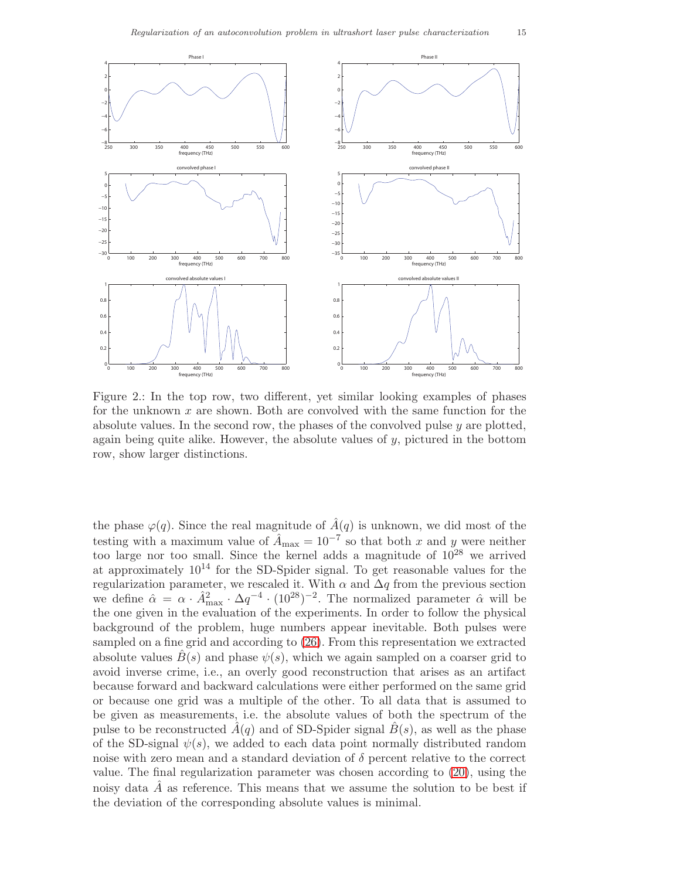

Figure 2.: In the top row, two different, yet similar looking examples of phases for the unknown x are shown. Both are convolved with the same function for the absolute values. In the second row, the phases of the convolved pulse  $y$  are plotted, again being quite alike. However, the absolute values of  $y$ , pictured in the bottom row, show larger distinctions.

the phase  $\varphi(q)$ . Since the real magnitude of  $\hat{A}(q)$  is unknown, we did most of the testing with a maximum value of  $\hat{A}_{\text{max}} = 10^{-7}$  so that both x and y were neither too large nor too small. Since the kernel adds a magnitude of 10 <sup>28</sup> we arrived at approximately  $10^{14}$  for the SD-Spider signal. To get reasonable values for the regularization parameter, we rescaled it. With  $\alpha$  and  $\Delta q$  from the previous section we define  $\hat{\alpha} = \alpha \cdot \hat{A}_{\text{max}}^2 \cdot \Delta q^{-4} \cdot (10^{28})^{-2}$ . The normalized parameter  $\hat{\alpha}$  will be the one given in the evaluation of the experiments. In order to follow the physical background of the problem, huge numbers appear inevitable. Both pulses were sampled on a fine grid and according to [\(26\)](#page-13-0). From this representation we extracted absolute values  $B(s)$  and phase  $\psi(s)$ , which we again sampled on a coarser grid to avoid inverse crime, i.e., an overly good reconstruction that arises as an artifact because forward and backward calculations were either performed on the same grid or because one grid was a multiple of the other. To all data that is assumed to be given as measurements, i.e. the absolute values of both the spectrum of the pulse to be reconstructed  $A(q)$  and of SD-Spider signal  $B(s)$ , as well as the phase of the SD-signal  $\psi(s)$ , we added to each data point normally distributed random noise with zero mean and a standard deviation of  $\delta$  percent relative to the correct value. The final regularization parameter was chosen according to [\(20\)](#page-11-1), using the noisy data  $A$  as reference. This means that we assume the solution to be best if the deviation of the corresponding absolute values is minimal.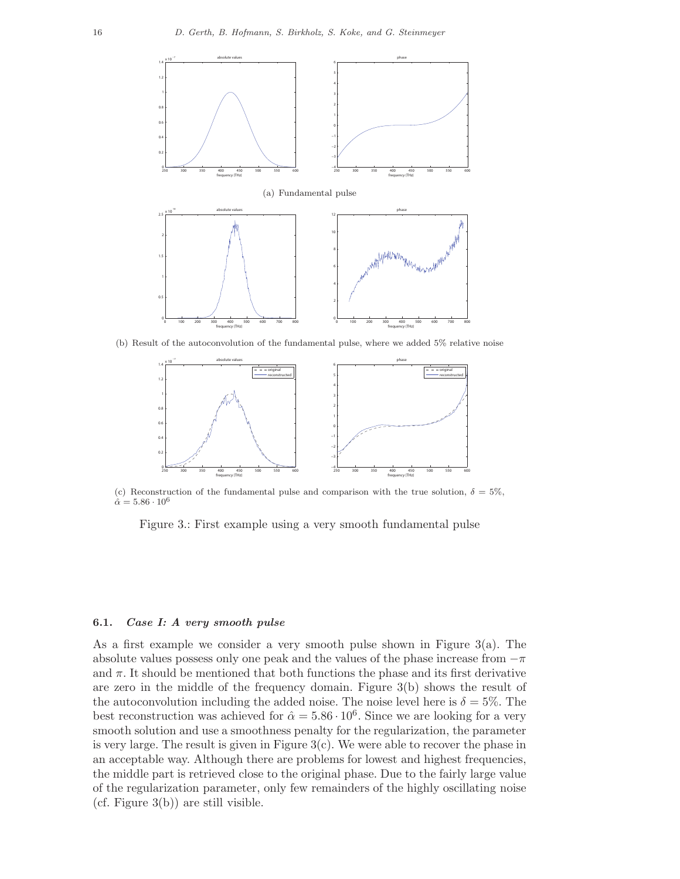

(b) Result of the autoconvolution of the fundamental pulse, where we added 5% relative noise



(c) Reconstruction of the fundamental pulse and comparison with the true solution,  $\delta = 5\%$ ,  $\hat{\alpha} = 5.86 \cdot 10^6$ 

Figure 3.: First example using a very smooth fundamental pulse

#### 6.1. Case I: A very smooth pulse

As a first example we consider a very smooth pulse shown in Figure 3(a). The absolute values possess only one peak and the values of the phase increase from  $-\pi$ and  $\pi$ . It should be mentioned that both functions the phase and its first derivative are zero in the middle of the frequency domain. Figure 3(b) shows the result of the autoconvolution including the added noise. The noise level here is  $\delta = 5\%$ . The best reconstruction was achieved for  $\hat{\alpha} = 5.86 \cdot 10^6$ . Since we are looking for a very smooth solution and use a smoothness penalty for the regularization, the parameter is very large. The result is given in Figure 3(c). We were able to recover the phase in an acceptable way. Although there are problems for lowest and highest frequencies, the middle part is retrieved close to the original phase. Due to the fairly large value of the regularization parameter, only few remainders of the highly oscillating noise  $(cf. Figure 3(b))$  are still visible.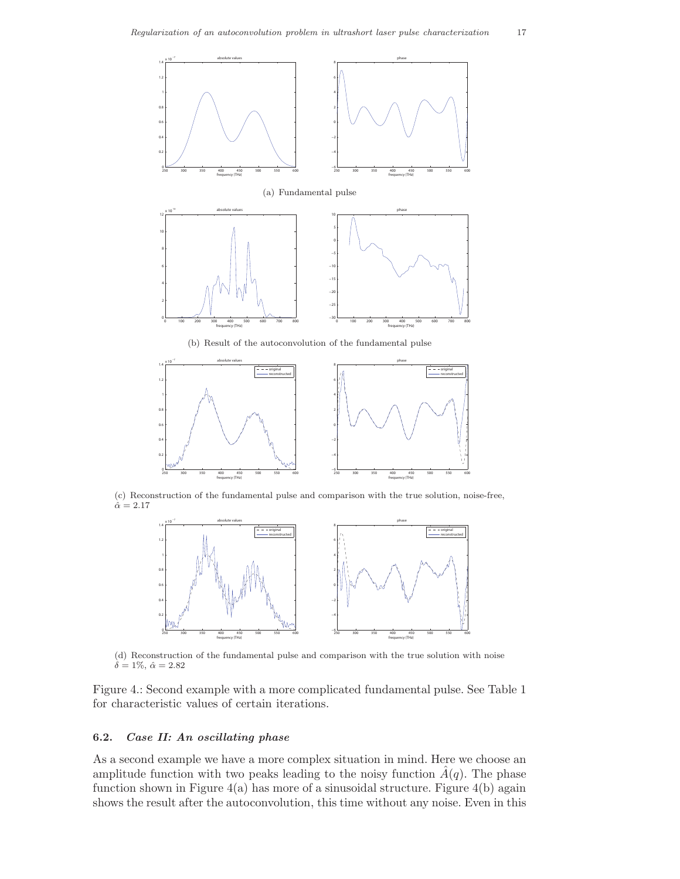

(b) Result of the autoconvolution of the fundamental pulse



(c) Reconstruction of the fundamental pulse and comparison with the true solution, noise-free,  $\hat{\alpha}=2.17$ 



(d) Reconstruction of the fundamental pulse and comparison with the true solution with noise  $\delta = 1\%, \hat{\alpha} = 2.82$ 

Figure 4.: Second example with a more complicated fundamental pulse. See Table 1 for characteristic values of certain iterations.

### 6.2. Case II: An oscillating phase

As a second example we have a more complex situation in mind. Here we choose an amplitude function with two peaks leading to the noisy function  $\hat{A}(q)$ . The phase function shown in Figure  $4(a)$  has more of a sinusoidal structure. Figure  $4(b)$  again shows the result after the autoconvolution, this time without any noise. Even in this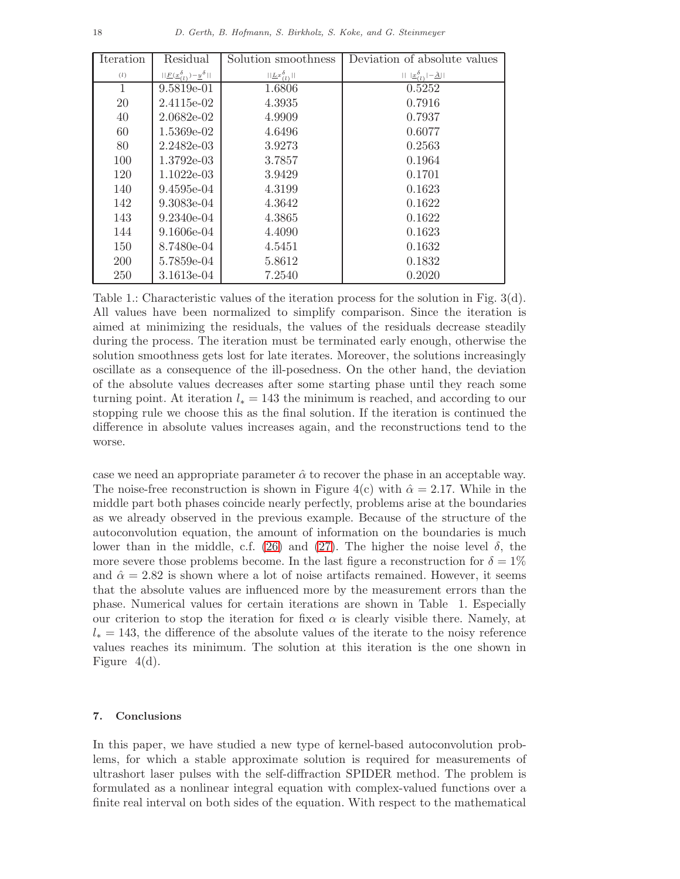| Iteration | Residual                                                                 | Solution smoothness              | Deviation of absolute values                                 |
|-----------|--------------------------------------------------------------------------|----------------------------------|--------------------------------------------------------------|
| (l)       | $  \underline{F}(\underline{x}_{(l)}^{\delta})-\underline{y}^{\delta}  $ | $  \mathbf{L}x_{(l)}^{\delta}  $ | $   \cdot    \cdot \frac{\delta}{\alpha(l)}    - \hat{A}   $ |
| 1         | 9.5819e-01                                                               | 1.6806                           | 0.5252                                                       |
| 20        | 2.4115e-02                                                               | 4.3935                           | 0.7916                                                       |
| 40        | $2.0682e-02$                                                             | 4.9909                           | 0.7937                                                       |
| 60        | $1.5369e-02$                                                             | 4.6496                           | 0.6077                                                       |
| 80        | 2.2482e-03                                                               | 3.9273                           | 0.2563                                                       |
| 100       | $1.3792e-03$                                                             | 3.7857                           | 0.1964                                                       |
| 120       | $1.1022e-03$                                                             | 3.9429                           | 0.1701                                                       |
| 140       | 9.4595e-04                                                               | 4.3199                           | 0.1623                                                       |
| 142       | 9.3083e-04                                                               | 4.3642                           | 0.1622                                                       |
| 143       | 9.2340e-04                                                               | 4.3865                           | 0.1622                                                       |
| 144       | $9.1606e-04$                                                             | 4.4090                           | 0.1623                                                       |
| 150       | 8.7480e-04                                                               | 4.5451                           | 0.1632                                                       |
| 200       | 5.7859e-04                                                               | 5.8612                           | 0.1832                                                       |
| 250       | 3.1613e-04                                                               | 7.2540                           | 0.2020                                                       |

Table 1.: Characteristic values of the iteration process for the solution in Fig. 3(d). All values have been normalized to simplify comparison. Since the iteration is aimed at minimizing the residuals, the values of the residuals decrease steadily during the process. The iteration must be terminated early enough, otherwise the solution smoothness gets lost for late iterates. Moreover, the solutions increasingly oscillate as a consequence of the ill-posedness. On the other hand, the deviation of the absolute values decreases after some starting phase until they reach some turning point. At iteration  $l_* = 143$  the minimum is reached, and according to our stopping rule we choose this as the final solution. If the iteration is continued the difference in absolute values increases again, and the reconstructions tend to the worse.

case we need an appropriate parameter  $\hat{\alpha}$  to recover the phase in an acceptable way. The noise-free reconstruction is shown in Figure 4(c) with  $\hat{\alpha} = 2.17$ . While in the middle part both phases coincide nearly perfectly, problems arise at the boundaries as we already observed in the previous example. Because of the structure of the autoconvolution equation, the amount of information on the boundaries is much lower than in the middle, c.f. [\(26\)](#page-13-0) and [\(27\)](#page-13-1). The higher the noise level  $\delta$ , the more severe those problems become. In the last figure a reconstruction for  $\delta = 1\%$ and  $\hat{\alpha} = 2.82$  is shown where a lot of noise artifacts remained. However, it seems that the absolute values are influenced more by the measurement errors than the phase. Numerical values for certain iterations are shown in Table 1. Especially our criterion to stop the iteration for fixed  $\alpha$  is clearly visible there. Namely, at  $l_* = 143$ , the difference of the absolute values of the iterate to the noisy reference values reaches its minimum. The solution at this iteration is the one shown in Figure 4(d).

#### 7. Conclusions

In this paper, we have studied a new type of kernel-based autoconvolution problems, for which a stable approximate solution is required for measurements of ultrashort laser pulses with the self-diffraction SPIDER method. The problem is formulated as a nonlinear integral equation with complex-valued functions over a finite real interval on both sides of the equation. With respect to the mathematical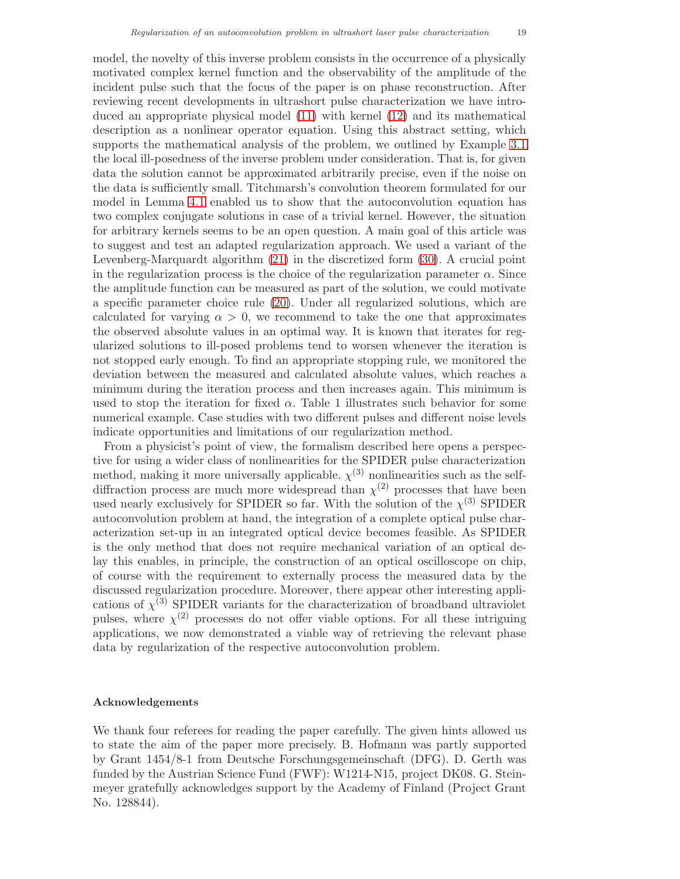model, the novelty of this inverse problem consists in the occurrence of a physically motivated complex kernel function and the observability of the amplitude of the incident pulse such that the focus of the paper is on phase reconstruction. After reviewing recent developments in ultrashort pulse characterization we have introduced an appropriate physical model [\(11\)](#page-6-2) with kernel [\(12\)](#page-7-1) and its mathematical description as a nonlinear operator equation. Using this abstract setting, which supports the mathematical analysis of the problem, we outlined by Example [3.1](#page-9-1) the local ill-posedness of the inverse problem under consideration. That is, for given data the solution cannot be approximated arbitrarily precise, even if the noise on the data is sufficiently small. Titchmarsh's convolution theorem formulated for our model in Lemma [4.1](#page-10-0) enabled us to show that the autoconvolution equation has two complex conjugate solutions in case of a trivial kernel. However, the situation for arbitrary kernels seems to be an open question. A main goal of this article was to suggest and test an adapted regularization approach. We used a variant of the Levenberg-Marquardt algorithm [\(21\)](#page-11-3) in the discretized form [\(30\)](#page-13-2). A crucial point in the regularization process is the choice of the regularization parameter  $\alpha$ . Since the amplitude function can be measured as part of the solution, we could motivate a specific parameter choice rule [\(20\)](#page-11-1). Under all regularized solutions, which are calculated for varying  $\alpha > 0$ , we recommend to take the one that approximates the observed absolute values in an optimal way. It is known that iterates for regularized solutions to ill-posed problems tend to worsen whenever the iteration is not stopped early enough. To find an appropriate stopping rule, we monitored the deviation between the measured and calculated absolute values, which reaches a minimum during the iteration process and then increases again. This minimum is used to stop the iteration for fixed  $\alpha$ . Table 1 illustrates such behavior for some numerical example. Case studies with two different pulses and different noise levels indicate opportunities and limitations of our regularization method.

From a physicist's point of view, the formalism described here opens a perspective for using a wider class of nonlinearities for the SPIDER pulse characterization method, making it more universally applicable.  $\chi^{(3)}$  nonlinearities such as the selfdiffraction process are much more widespread than  $\chi^{(2)}$  processes that have been used nearly exclusively for SPIDER so far. With the solution of the  $\chi^{(3)}$  SPIDER autoconvolution problem at hand, the integration of a complete optical pulse characterization set-up in an integrated optical device becomes feasible. As SPIDER is the only method that does not require mechanical variation of an optical delay this enables, in principle, the construction of an optical oscilloscope on chip, of course with the requirement to externally process the measured data by the discussed regularization procedure. Moreover, there appear other interesting applications of  $\chi^{(3)}$  SPIDER variants for the characterization of broadband ultraviolet pulses, where  $\chi^{(2)}$  processes do not offer viable options. For all these intriguing applications, we now demonstrated a viable way of retrieving the relevant phase data by regularization of the respective autoconvolution problem.

## Acknowledgements

We thank four referees for reading the paper carefully. The given hints allowed us to state the aim of the paper more precisely. B. Hofmann was partly supported by Grant 1454/8-1 from Deutsche Forschungsgemeinschaft (DFG). D. Gerth was funded by the Austrian Science Fund (FWF): W1214-N15, project DK08. G. Steinmeyer gratefully acknowledges support by the Academy of Finland (Project Grant No. 128844).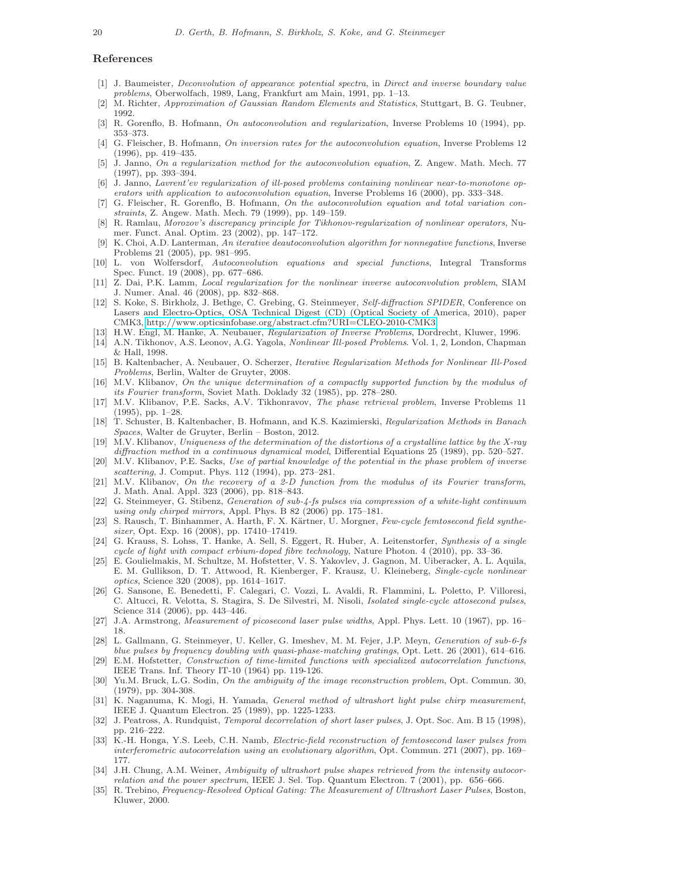#### References

- <span id="page-19-0"></span>[1] J. Baumeister, Deconvolution of appearance potential spectra, in Direct and inverse boundary value problems, Oberwolfach, 1989, Lang, Frankfurt am Main, 1991, pp. 1–13.
- <span id="page-19-1"></span>[2] M. Richter, Approximation of Gaussian Random Elements and Statistics, Stuttgart, B. G. Teubner, 1992.
- <span id="page-19-2"></span>[3] R. Gorenflo, B. Hofmann, On autoconvolution and regularization, Inverse Problems 10 (1994), pp. 353–373.
- <span id="page-19-3"></span>[4] G. Fleischer, B. Hofmann, On inversion rates for the autoconvolution equation, Inverse Problems 12 (1996), pp. 419–435.
- <span id="page-19-4"></span>[5] J. Janno, On a regularization method for the autoconvolution equation, Z. Angew. Math. Mech. 77 (1997), pp. 393–394.
- [6] J. Janno, Lavrent'ev regularization of ill-posed problems containing nonlinear near-to-monotone operators with application to autoconvolution equation, Inverse Problems 16 (2000), pp. 333–348.
- [7] G. Fleischer, R. Gorenflo, B. Hofmann, On the autoconvolution equation and total variation constraints, Z. Angew. Math. Mech. 79 (1999), pp. 149–159.
- [8] R. Ramlau, Morozov's discrepancy principle for Tikhonov-regularization of nonlinear operators, Numer. Funct. Anal. Optim. 23 (2002), pp. 147–172.
- [9] K. Choi, A.D. Lanterman, An iterative deautoconvolution algorithm for nonnegative functions, Inverse Problems 21 (2005), pp. 981–995.
- [10] L. von Wolfersdorf, Autoconvolution equations and special functions, Integral Transforms Spec. Funct. 19 (2008), pp. 677–686.
- <span id="page-19-5"></span>[11] Z. Dai, P.K. Lamm, Local regularization for the nonlinear inverse autoconvolution problem, SIAM J. Numer. Anal. 46 (2008), pp. 832–868.
- <span id="page-19-6"></span>[12] S. Koke, S. Birkholz, J. Bethge, C. Grebing, G. Steinmeyer, Self-diffraction SPIDER, Conference on Lasers and Electro-Optics, OSA Technical Digest (CD) (Optical Society of America, 2010), paper CMK3, [http://www.opticsinfobase.org/abstract.cfm?URI=CLEO-2010-CMK3.](http://www.opticsinfobase.org/abstract.cfm?URI=CLEO-2010-CMK3)
- <span id="page-19-7"></span>[13] H.W. Engl, M. Hanke, A. Neubauer, Regularization of Inverse Problems, Dordrecht, Kluwer, 1996.
- <span id="page-19-8"></span>[14] A.N. Tikhonov, A.S. Leonov, A.G. Yagola, Nonlinear Ill-posed Problems. Vol. 1, 2, London, Chapman & Hall, 1998.
- <span id="page-19-9"></span>[15] B. Kaltenbacher, A. Neubauer, O. Scherzer, Iterative Regularization Methods for Nonlinear Ill-Posed Problems, Berlin, Walter de Gruyter, 2008.
- <span id="page-19-10"></span>[16] M.V. Klibanov, On the unique determination of a compactly supported function by the modulus of its Fourier transform, Soviet Math. Doklady 32 (1985), pp. 278–280.
- <span id="page-19-11"></span>[17] M.V. Klibanov, P.E. Sacks, A.V. Tikhonravov, The phase retrieval problem, Inverse Problems 11 (1995), pp. 1–28.
- <span id="page-19-12"></span>[18] T. Schuster, B. Kaltenbacher, B. Hofmann, and K.S. Kazimierski, Regularization Methods in Banach Spaces, Walter de Gruyter, Berlin – Boston, 2012.
- <span id="page-19-13"></span>[19] M.V. Klibanov, Uniqueness of the determination of the distortions of a crystalline lattice by the X-ray diffraction method in a continuous dynamical model, Differential Equations 25 (1989), pp. 520–527.
- <span id="page-19-15"></span>[20] M.V. Klibanov, P.E. Sacks, Use of partial knowledge of the potential in the phase problem of inverse scattering, J. Comput. Phys. 112 (1994), pp. 273–281.
- <span id="page-19-14"></span>[21] M.V. Klibanov, On the recovery of a 2-D function from the modulus of its Fourier transform, J. Math. Anal. Appl. 323 (2006), pp. 818–843.
- <span id="page-19-16"></span>[22] G. Steinmeyer, G. Stibenz, Generation of sub-4-fs pulses via compression of a white-light continuum using only chirped mirrors, Appl. Phys. B 82 (2006) pp. 175–181.
- [23] S. Rausch, T. Binhammer, A. Harth, F. X. Kärtner, U. Morgner, Few-cycle femtosecond field synthesizer, Opt. Exp. 16 (2008), pp. 17410–17419.
- <span id="page-19-17"></span>[24] G. Krauss, S. Lohss, T. Hanke, A. Sell, S. Eggert, R. Huber, A. Leitenstorfer, Synthesis of a single cycle of light with compact erbium-doped fibre technology, Nature Photon. 4 (2010), pp. 33–36.
- <span id="page-19-18"></span>[25] E. Goulielmakis, M. Schultze, M. Hofstetter, V. S. Yakovlev, J. Gagnon, M. Uiberacker, A. L. Aquila, E. M. Gullikson, D. T. Attwood, R. Kienberger, F. Krausz, U. Kleineberg, Single-cycle nonlinear optics, Science 320 (2008), pp. 1614–1617.
- <span id="page-19-19"></span>[26] G. Sansone, E. Benedetti, F. Calegari, C. Vozzi, L. Avaldi, R. Flammini, L. Poletto, P. Villoresi, C. Altucci, R. Velotta, S. Stagira, S. De Silvestri, M. Nisoli, Isolated single-cycle attosecond pulses, Science 314 (2006), pp. 443–446.
- <span id="page-19-20"></span>[27] J.A. Armstrong, Measurement of picosecond laser pulse widths, Appl. Phys. Lett. 10 (1967), pp. 16– 18.
- <span id="page-19-21"></span>[28] L. Gallmann, G. Steinmeyer, U. Keller, G. Imeshev, M. M. Fejer, J.P. Meyn, Generation of sub-6-fs blue pulses by frequency doubling with quasi-phase-matching gratings, Opt. Lett. 26 (2001), 614–616.
- <span id="page-19-22"></span>[29] E.M. Hofstetter, Construction of time-limited functions with specialized autocorrelation functions, IEEE Trans. Inf. Theory IT-10 (1964) pp. 119-126.
- <span id="page-19-23"></span>[30] Yu.M. Bruck, L.G. Sodin, On the ambiguity of the image reconstruction problem, Opt. Commun. 30, (1979), pp. 304-308.
- <span id="page-19-24"></span>[31] K. Naganuma, K. Mogi, H. Yamada, *General method of ultrashort light pulse chirp measurement*, IEEE J. Quantum Electron. 25 (1989), pp. 1225-1233.
- <span id="page-19-25"></span>[32] J. Peatross, A. Rundquist, Temporal decorrelation of short laser pulses, J. Opt. Soc. Am. B 15 (1998), pp. 216–222.
- <span id="page-19-26"></span>[33] K.-H. Honga, Y.S. Leeb, C.H. Namb, Electric-field reconstruction of femtosecond laser pulses from interferometric autocorrelation using an evolutionary algorithm, Opt. Commun. 271 (2007), pp. 169– 177.
- <span id="page-19-27"></span>[34] J.H. Chung, A.M. Weiner, Ambiguity of ultrashort pulse shapes retrieved from the intensity autocorrelation and the power spectrum, IEEE J. Sel. Top. Quantum Electron. 7 (2001), pp. 656–666.
- <span id="page-19-28"></span>[35] R. Trebino, Frequency-Resolved Optical Gating: The Measurement of Ultrashort Laser Pulses, Boston, Kluwer, 2000.